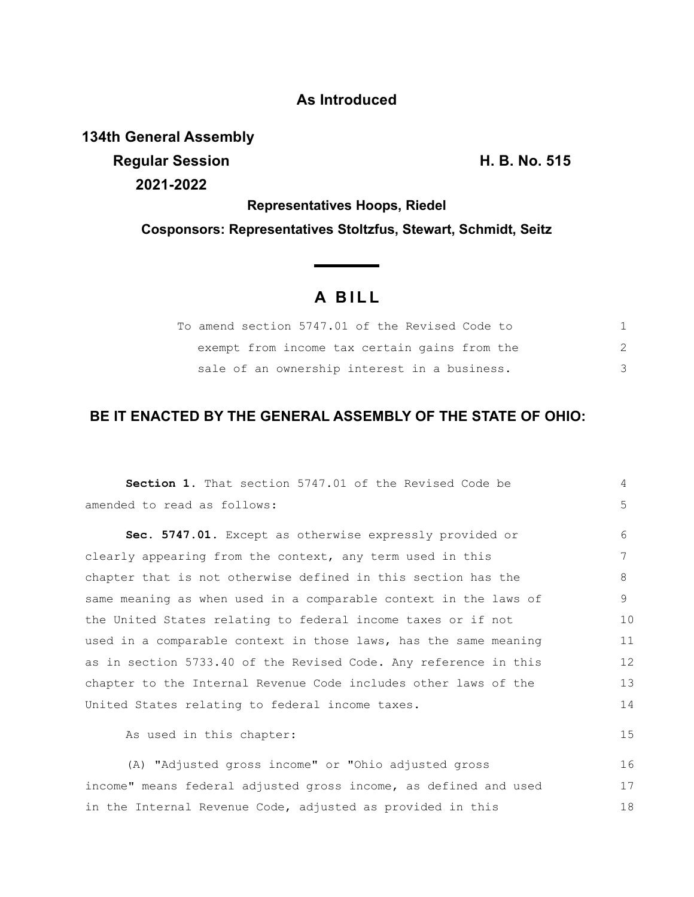### **As Introduced**

**134th General Assembly**

**Regular Session H. B. No. 515 2021-2022**

**Representatives Hoops, Riedel**

**Cosponsors: Representatives Stoltzfus, Stewart, Schmidt, Seitz**

# **A B I L L**

<u> The Common State State Sta</u>te

| To amend section 5747.01 of the Revised Code to |  |
|-------------------------------------------------|--|
| exempt from income tax certain gains from the   |  |
| sale of an ownership interest in a business.    |  |

## **BE IT ENACTED BY THE GENERAL ASSEMBLY OF THE STATE OF OHIO:**

| <b>Section 1.</b> That section 5747.01 of the Revised Code be    | 4  |
|------------------------------------------------------------------|----|
| amended to read as follows:                                      | 5  |
| Sec. 5747.01. Except as otherwise expressly provided or          | 6  |
| clearly appearing from the context, any term used in this        | 7  |
| chapter that is not otherwise defined in this section has the    | 8  |
| same meaning as when used in a comparable context in the laws of | 9  |
| the United States relating to federal income taxes or if not     | 10 |
| used in a comparable context in those laws, has the same meaning | 11 |
| as in section 5733.40 of the Revised Code. Any reference in this | 12 |
| chapter to the Internal Revenue Code includes other laws of the  | 13 |
| United States relating to federal income taxes.                  | 14 |
| As used in this chapter:                                         | 15 |
| (A) "Adjusted gross income" or "Ohio adjusted gross              | 16 |
| income" means federal adjusted gross income, as defined and used | 17 |
| in the Internal Revenue Code, adjusted as provided in this       | 18 |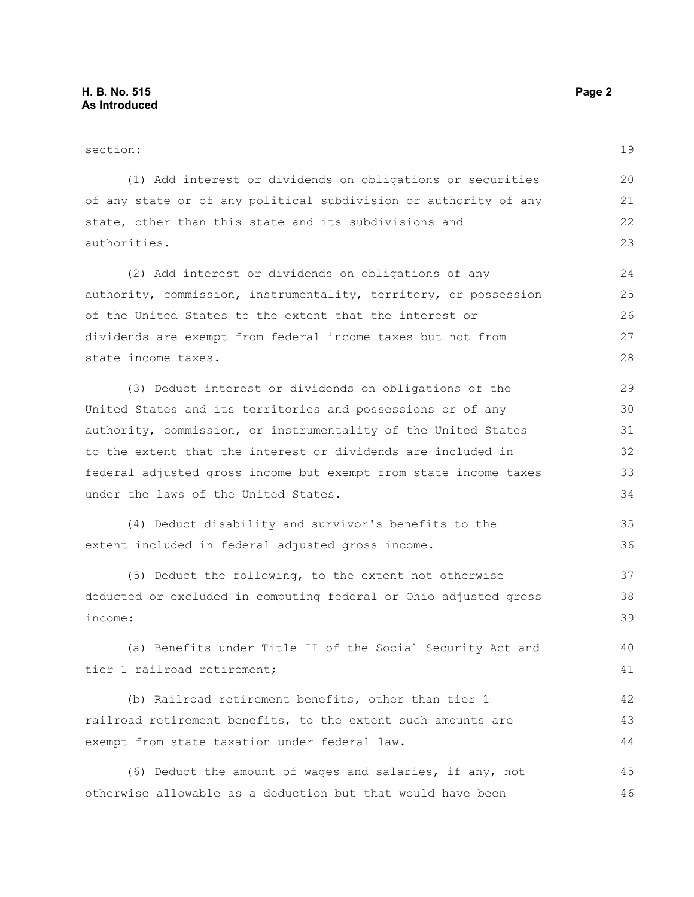#### section: (1) Add interest or dividends on obligations or securities of any state or of any political subdivision or authority of any state, other than this state and its subdivisions and authorities. (2) Add interest or dividends on obligations of any authority, commission, instrumentality, territory, or possession of the United States to the extent that the interest or dividends are exempt from federal income taxes but not from state income taxes. (3) Deduct interest or dividends on obligations of the United States and its territories and possessions or of any authority, commission, or instrumentality of the United States to the extent that the interest or dividends are included in federal adjusted gross income but exempt from state income taxes under the laws of the United States. (4) Deduct disability and survivor's benefits to the extent included in federal adjusted gross income. (5) Deduct the following, to the extent not otherwise deducted or excluded in computing federal or Ohio adjusted gross income: (a) Benefits under Title II of the Social Security Act and tier 1 railroad retirement; (b) Railroad retirement benefits, other than tier 1 19 20 21 22 23 24 25 26 27 28 29 30 31 32 33 34 35 36 37 38 39 40 41 42

(6) Deduct the amount of wages and salaries, if any, not otherwise allowable as a deduction but that would have been 45 46

railroad retirement benefits, to the extent such amounts are

exempt from state taxation under federal law.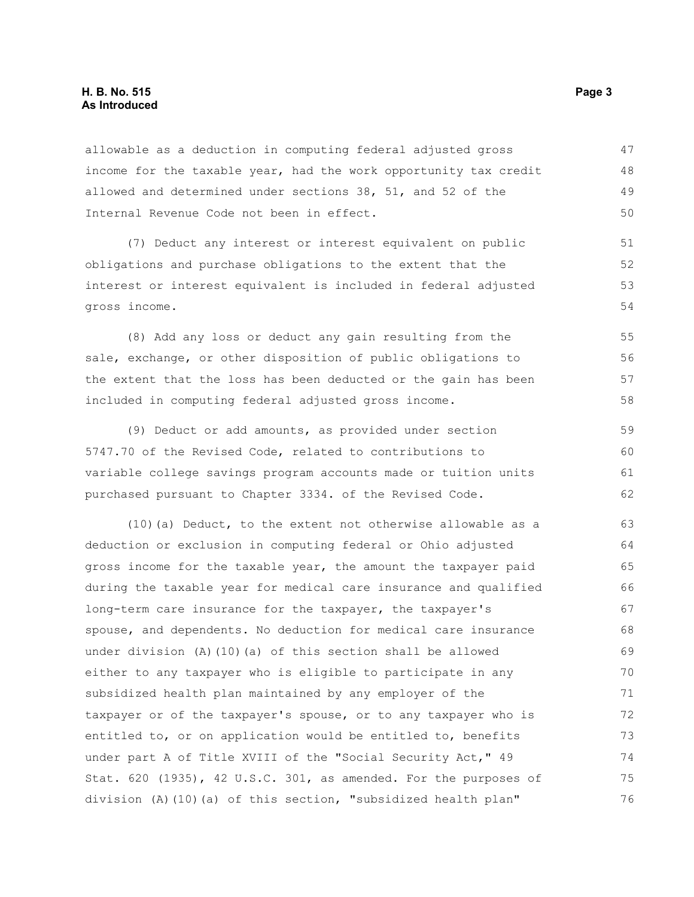#### **H. B. No. 515** Page 3 **As Introduced**

allowable as a deduction in computing federal adjusted gross income for the taxable year, had the work opportunity tax credit allowed and determined under sections 38, 51, and 52 of the Internal Revenue Code not been in effect. 47 48 49 50

(7) Deduct any interest or interest equivalent on public obligations and purchase obligations to the extent that the interest or interest equivalent is included in federal adjusted gross income.

(8) Add any loss or deduct any gain resulting from the sale, exchange, or other disposition of public obligations to the extent that the loss has been deducted or the gain has been included in computing federal adjusted gross income.

(9) Deduct or add amounts, as provided under section 5747.70 of the Revised Code, related to contributions to variable college savings program accounts made or tuition units purchased pursuant to Chapter 3334. of the Revised Code. 59 60 61 62

(10)(a) Deduct, to the extent not otherwise allowable as a deduction or exclusion in computing federal or Ohio adjusted gross income for the taxable year, the amount the taxpayer paid during the taxable year for medical care insurance and qualified long-term care insurance for the taxpayer, the taxpayer's spouse, and dependents. No deduction for medical care insurance under division (A)(10)(a) of this section shall be allowed either to any taxpayer who is eligible to participate in any subsidized health plan maintained by any employer of the taxpayer or of the taxpayer's spouse, or to any taxpayer who is entitled to, or on application would be entitled to, benefits under part A of Title XVIII of the "Social Security Act," 49 Stat. 620 (1935), 42 U.S.C. 301, as amended. For the purposes of division (A)(10)(a) of this section, "subsidized health plan" 63 64 65 66 67 68 69 70 71 72 73 74 75 76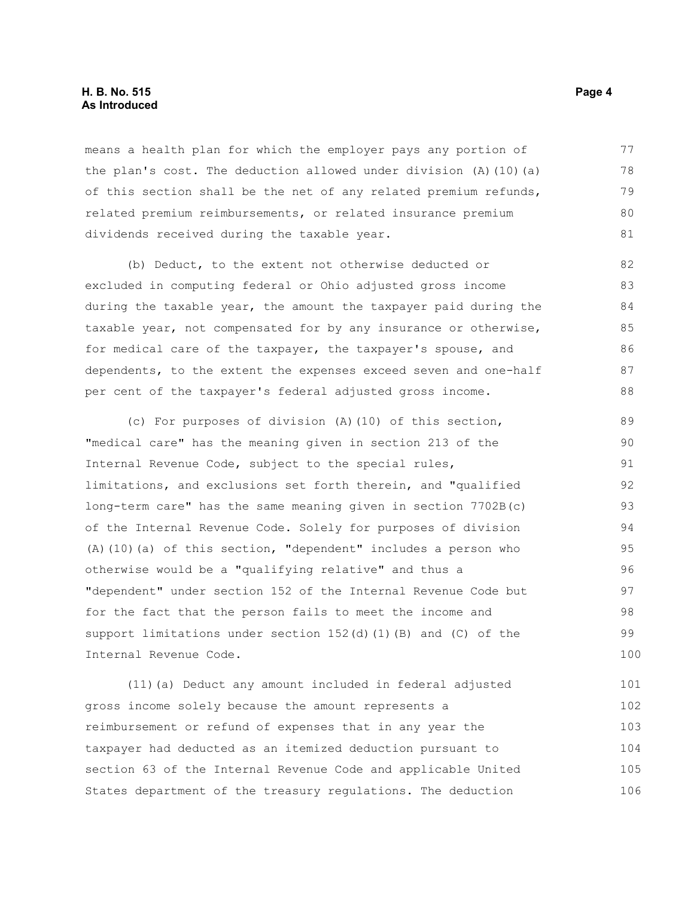#### **H. B. No. 515 Page 4 As Introduced**

means a health plan for which the employer pays any portion of the plan's cost. The deduction allowed under division  $(A)$  (10)(a) of this section shall be the net of any related premium refunds, related premium reimbursements, or related insurance premium dividends received during the taxable year. 77 78 79 80 81

(b) Deduct, to the extent not otherwise deducted or excluded in computing federal or Ohio adjusted gross income during the taxable year, the amount the taxpayer paid during the taxable year, not compensated for by any insurance or otherwise, for medical care of the taxpayer, the taxpayer's spouse, and dependents, to the extent the expenses exceed seven and one-half per cent of the taxpayer's federal adjusted gross income. 82 83 84 85 86 87 88

(c) For purposes of division (A)(10) of this section, "medical care" has the meaning given in section 213 of the Internal Revenue Code, subject to the special rules, limitations, and exclusions set forth therein, and "qualified long-term care" has the same meaning given in section 7702B(c) of the Internal Revenue Code. Solely for purposes of division (A)(10)(a) of this section, "dependent" includes a person who otherwise would be a "qualifying relative" and thus a "dependent" under section 152 of the Internal Revenue Code but for the fact that the person fails to meet the income and support limitations under section  $152(d)$  (1)(B) and (C) of the Internal Revenue Code. 89 90 91 92 93 94 95 96 97 98 99 100

(11)(a) Deduct any amount included in federal adjusted gross income solely because the amount represents a reimbursement or refund of expenses that in any year the taxpayer had deducted as an itemized deduction pursuant to section 63 of the Internal Revenue Code and applicable United States department of the treasury regulations. The deduction 101 102 103 104 105 106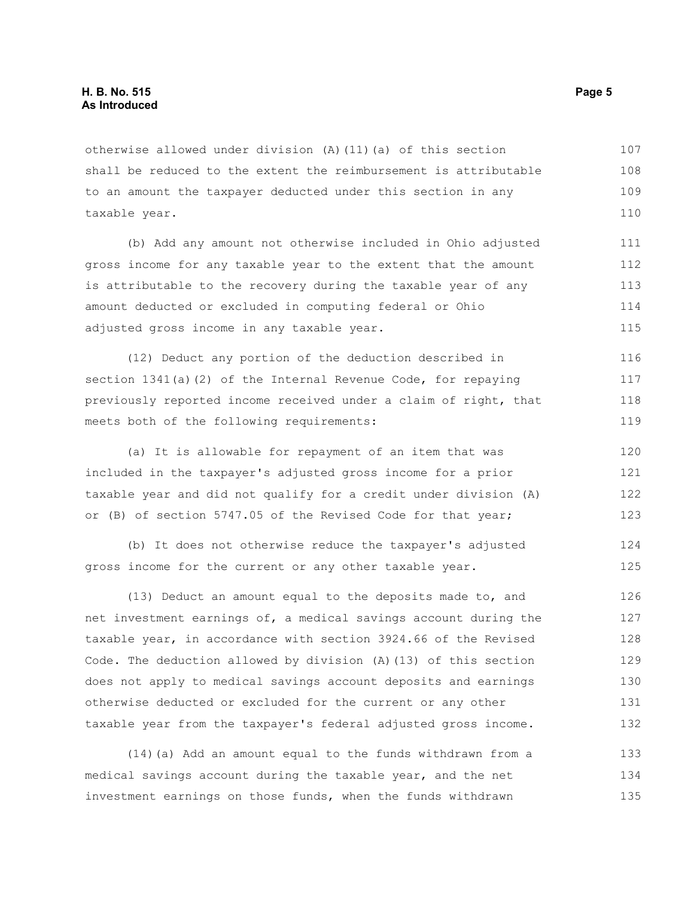otherwise allowed under division (A)(11)(a) of this section shall be reduced to the extent the reimbursement is attributable to an amount the taxpayer deducted under this section in any taxable year. 107 108 109 110

(b) Add any amount not otherwise included in Ohio adjusted gross income for any taxable year to the extent that the amount is attributable to the recovery during the taxable year of any amount deducted or excluded in computing federal or Ohio adjusted gross income in any taxable year. 111 112 113 114 115

(12) Deduct any portion of the deduction described in section 1341(a)(2) of the Internal Revenue Code, for repaying previously reported income received under a claim of right, that meets both of the following requirements: 116 117 118 119

(a) It is allowable for repayment of an item that was included in the taxpayer's adjusted gross income for a prior taxable year and did not qualify for a credit under division (A) or (B) of section 5747.05 of the Revised Code for that year; 120 121 122 123

(b) It does not otherwise reduce the taxpayer's adjusted gross income for the current or any other taxable year.

(13) Deduct an amount equal to the deposits made to, and net investment earnings of, a medical savings account during the taxable year, in accordance with section 3924.66 of the Revised Code. The deduction allowed by division (A)(13) of this section does not apply to medical savings account deposits and earnings otherwise deducted or excluded for the current or any other taxable year from the taxpayer's federal adjusted gross income. 126 127 128 129 130 131 132

(14)(a) Add an amount equal to the funds withdrawn from a medical savings account during the taxable year, and the net investment earnings on those funds, when the funds withdrawn 133 134 135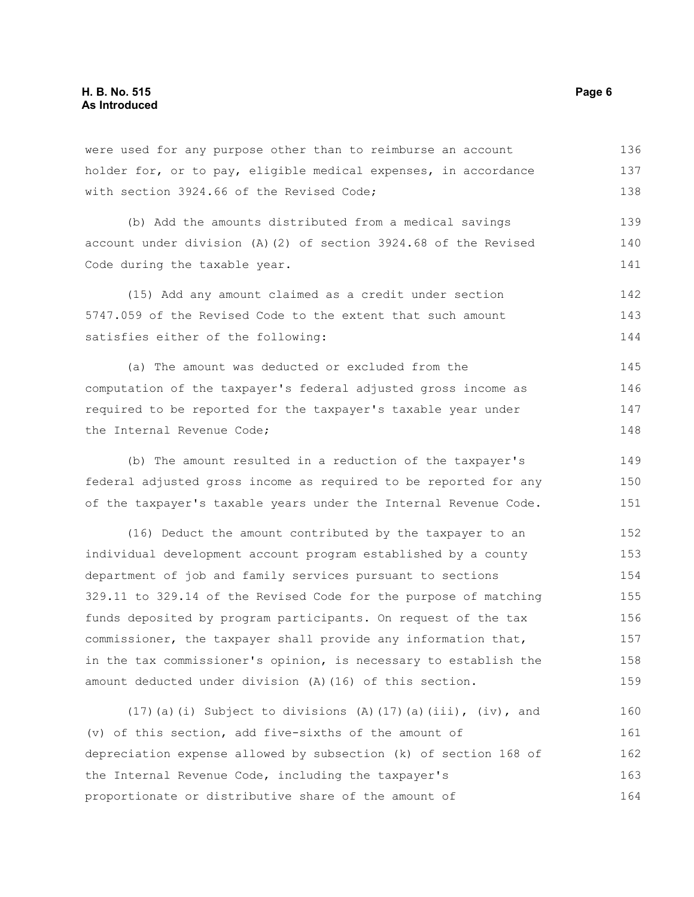were used for any purpose other than to reimburse an account holder for, or to pay, eligible medical expenses, in accordance with section 3924.66 of the Revised Code; 136 137 138

(b) Add the amounts distributed from a medical savings account under division (A)(2) of section 3924.68 of the Revised Code during the taxable year. 139 140 141

(15) Add any amount claimed as a credit under section 5747.059 of the Revised Code to the extent that such amount satisfies either of the following: 142 143 144

(a) The amount was deducted or excluded from the computation of the taxpayer's federal adjusted gross income as required to be reported for the taxpayer's taxable year under the Internal Revenue Code; 145 146 147 148

(b) The amount resulted in a reduction of the taxpayer's federal adjusted gross income as required to be reported for any of the taxpayer's taxable years under the Internal Revenue Code. 149 150 151

(16) Deduct the amount contributed by the taxpayer to an individual development account program established by a county department of job and family services pursuant to sections 329.11 to 329.14 of the Revised Code for the purpose of matching funds deposited by program participants. On request of the tax commissioner, the taxpayer shall provide any information that, in the tax commissioner's opinion, is necessary to establish the amount deducted under division (A)(16) of this section. 152 153 154 155 156 157 158 159

(17)(a)(i) Subject to divisions (A)(17)(a)(iii),  $(iv)$ , and (v) of this section, add five-sixths of the amount of depreciation expense allowed by subsection (k) of section 168 of the Internal Revenue Code, including the taxpayer's proportionate or distributive share of the amount of 160 161 162 163 164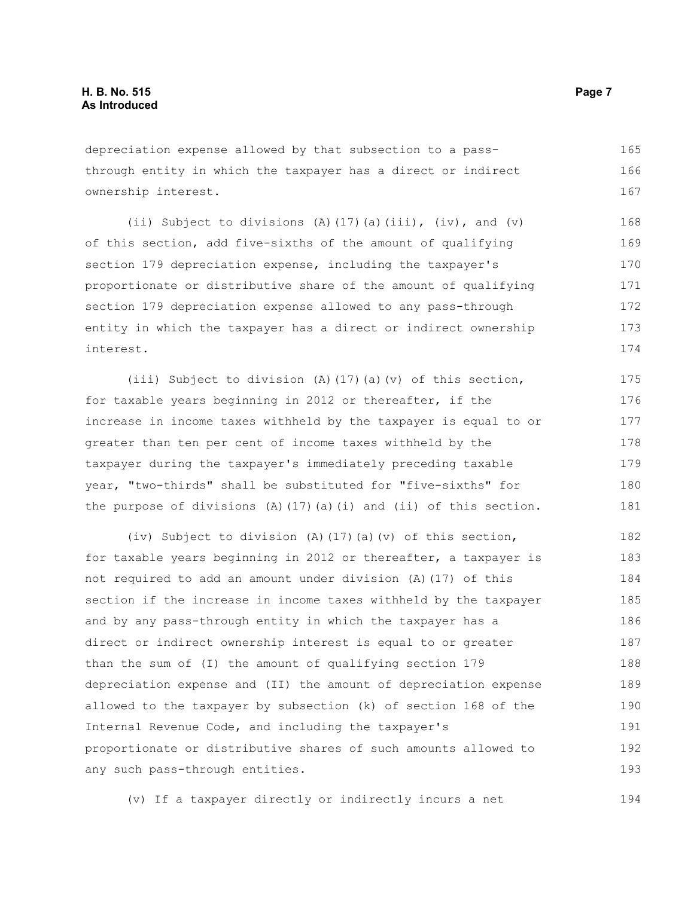depreciation expense allowed by that subsection to a passthrough entity in which the taxpayer has a direct or indirect ownership interest.

(ii) Subject to divisions (A)(17)(a)(iii), (iv), and (v) of this section, add five-sixths of the amount of qualifying section 179 depreciation expense, including the taxpayer's proportionate or distributive share of the amount of qualifying section 179 depreciation expense allowed to any pass-through entity in which the taxpayer has a direct or indirect ownership interest. 168 169 170 171 172 173 174

(iii) Subject to division (A)(17)(a)(v) of this section, for taxable years beginning in 2012 or thereafter, if the increase in income taxes withheld by the taxpayer is equal to or greater than ten per cent of income taxes withheld by the taxpayer during the taxpayer's immediately preceding taxable year, "two-thirds" shall be substituted for "five-sixths" for the purpose of divisions  $(A)$  (17)(a)(i) and (ii) of this section. 175 176 177 178 179 180 181

(iv) Subject to division (A)(17)(a)(v) of this section, for taxable years beginning in 2012 or thereafter, a taxpayer is not required to add an amount under division (A)(17) of this section if the increase in income taxes withheld by the taxpayer and by any pass-through entity in which the taxpayer has a direct or indirect ownership interest is equal to or greater than the sum of (I) the amount of qualifying section 179 depreciation expense and (II) the amount of depreciation expense allowed to the taxpayer by subsection (k) of section 168 of the Internal Revenue Code, and including the taxpayer's proportionate or distributive shares of such amounts allowed to any such pass-through entities. 182 183 184 185 186 187 188 189 190 191 192 193

(v) If a taxpayer directly or indirectly incurs a net

165 166 167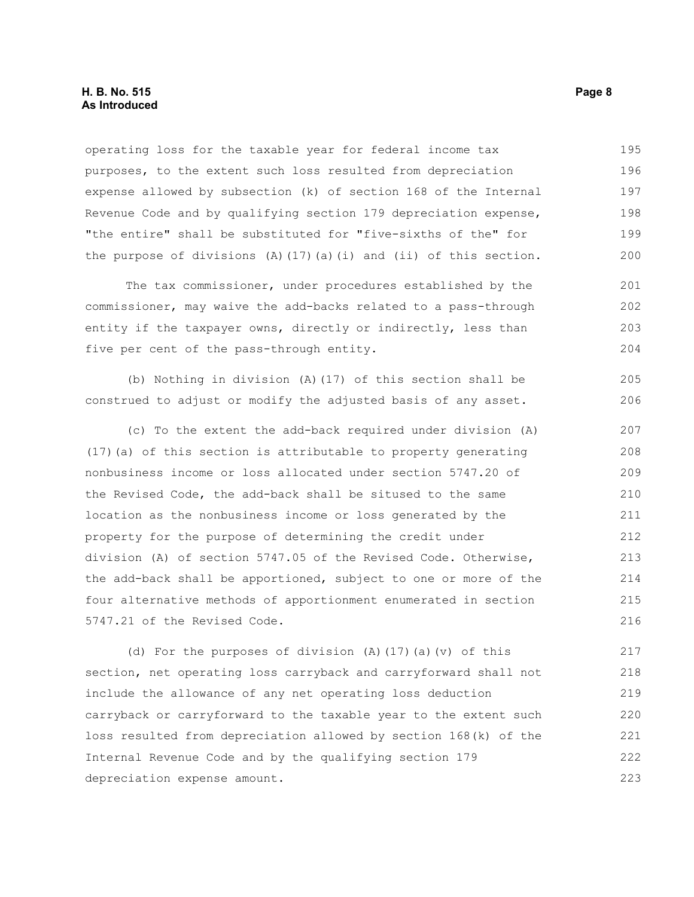#### **H. B. No. 515 Page 8 As Introduced**

operating loss for the taxable year for federal income tax purposes, to the extent such loss resulted from depreciation expense allowed by subsection (k) of section 168 of the Internal Revenue Code and by qualifying section 179 depreciation expense, "the entire" shall be substituted for "five-sixths of the" for the purpose of divisions  $(A)$  (17)(a)(i) and (ii) of this section. 195 196 197 198 199 200

The tax commissioner, under procedures established by the commissioner, may waive the add-backs related to a pass-through entity if the taxpayer owns, directly or indirectly, less than five per cent of the pass-through entity. 201 202 203 204

(b) Nothing in division (A)(17) of this section shall be construed to adjust or modify the adjusted basis of any asset. 205 206

(c) To the extent the add-back required under division (A) (17)(a) of this section is attributable to property generating nonbusiness income or loss allocated under section 5747.20 of the Revised Code, the add-back shall be sitused to the same location as the nonbusiness income or loss generated by the property for the purpose of determining the credit under division (A) of section 5747.05 of the Revised Code. Otherwise, the add-back shall be apportioned, subject to one or more of the four alternative methods of apportionment enumerated in section 5747.21 of the Revised Code. 207 208 209 210 211 212 213 214 215 216

(d) For the purposes of division (A)(17)(a)(v) of this section, net operating loss carryback and carryforward shall not include the allowance of any net operating loss deduction carryback or carryforward to the taxable year to the extent such loss resulted from depreciation allowed by section 168(k) of the Internal Revenue Code and by the qualifying section 179 depreciation expense amount. 217 218 219 220 221 222 223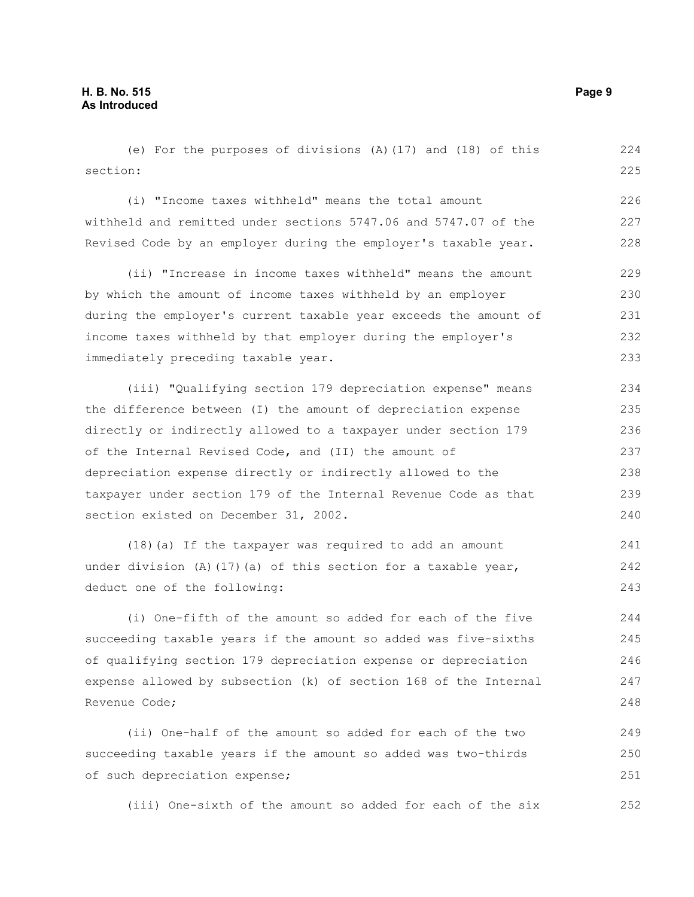(e) For the purposes of divisions (A)(17) and (18) of this section: 224 225

(i) "Income taxes withheld" means the total amount withheld and remitted under sections 5747.06 and 5747.07 of the Revised Code by an employer during the employer's taxable year. 226 227 228

(ii) "Increase in income taxes withheld" means the amount by which the amount of income taxes withheld by an employer during the employer's current taxable year exceeds the amount of income taxes withheld by that employer during the employer's immediately preceding taxable year. 229 230 231 232 233

(iii) "Qualifying section 179 depreciation expense" means the difference between (I) the amount of depreciation expense directly or indirectly allowed to a taxpayer under section 179 of the Internal Revised Code, and (II) the amount of depreciation expense directly or indirectly allowed to the taxpayer under section 179 of the Internal Revenue Code as that section existed on December 31, 2002.

(18)(a) If the taxpayer was required to add an amount under division (A)(17)(a) of this section for a taxable year, deduct one of the following: 241 242 243

(i) One-fifth of the amount so added for each of the five succeeding taxable years if the amount so added was five-sixths of qualifying section 179 depreciation expense or depreciation expense allowed by subsection (k) of section 168 of the Internal Revenue Code; 244 245 246 247 248

(ii) One-half of the amount so added for each of the two succeeding taxable years if the amount so added was two-thirds of such depreciation expense; 249 250 251

(iii) One-sixth of the amount so added for each of the six 252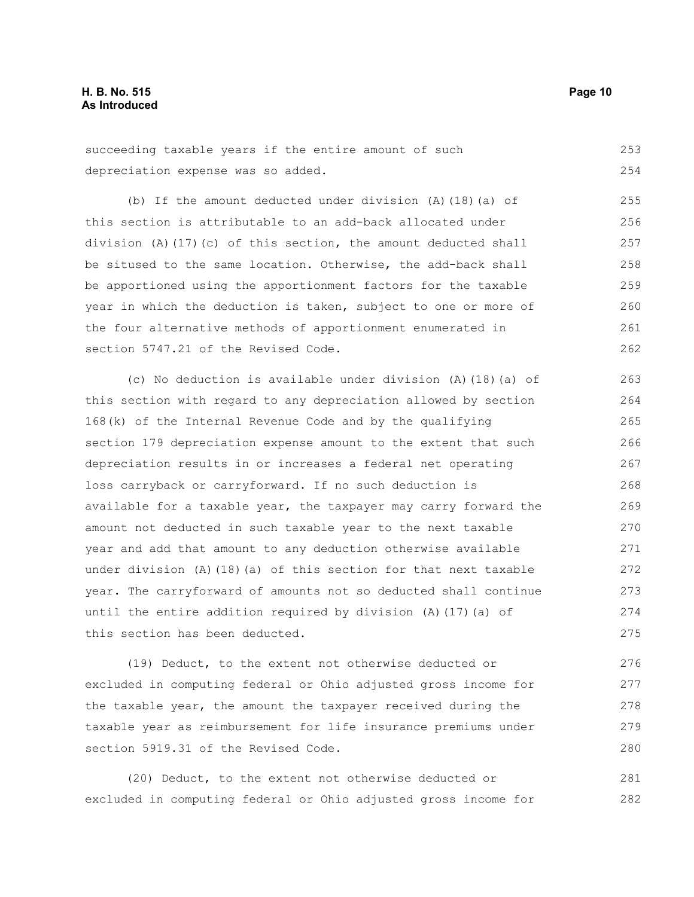succeeding taxable years if the entire amount of such depreciation expense was so added. 253 254

(b) If the amount deducted under division (A)(18)(a) of this section is attributable to an add-back allocated under division (A)(17)(c) of this section, the amount deducted shall be sitused to the same location. Otherwise, the add-back shall be apportioned using the apportionment factors for the taxable year in which the deduction is taken, subject to one or more of the four alternative methods of apportionment enumerated in section 5747.21 of the Revised Code. 255 256 257 258 259 260 261 262

(c) No deduction is available under division (A)(18)(a) of this section with regard to any depreciation allowed by section 168(k) of the Internal Revenue Code and by the qualifying section 179 depreciation expense amount to the extent that such depreciation results in or increases a federal net operating loss carryback or carryforward. If no such deduction is available for a taxable year, the taxpayer may carry forward the amount not deducted in such taxable year to the next taxable year and add that amount to any deduction otherwise available under division  $(A)$  (18)(a) of this section for that next taxable year. The carryforward of amounts not so deducted shall continue until the entire addition required by division  $(A)$  (17)(a) of this section has been deducted. 263 264 265 266 267 268 269 270 271 272 273 274 275

(19) Deduct, to the extent not otherwise deducted or excluded in computing federal or Ohio adjusted gross income for the taxable year, the amount the taxpayer received during the taxable year as reimbursement for life insurance premiums under section 5919.31 of the Revised Code. 276 277 278 279 280

(20) Deduct, to the extent not otherwise deducted or excluded in computing federal or Ohio adjusted gross income for 281 282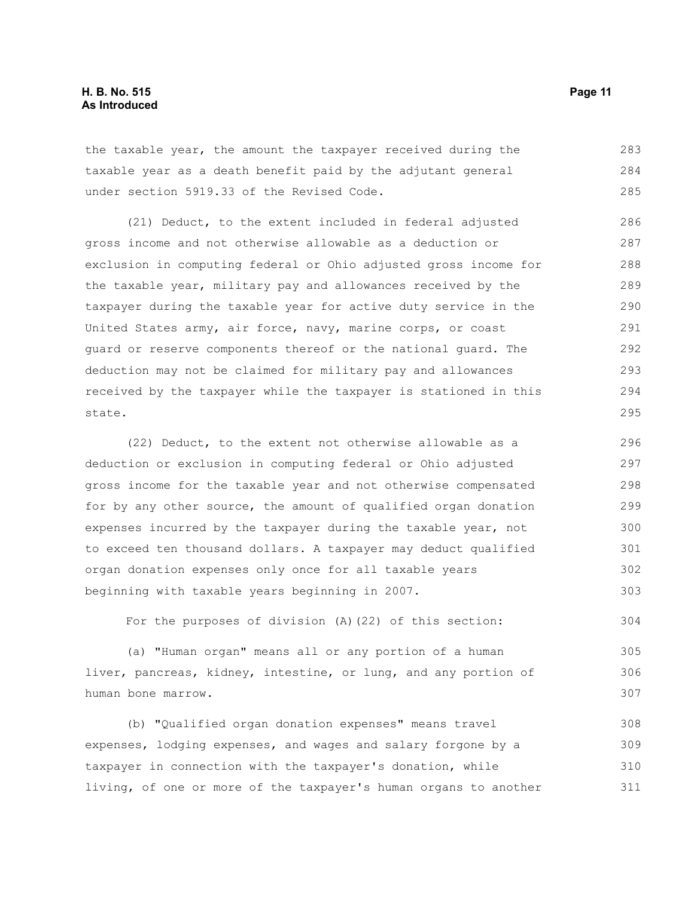the taxable year, the amount the taxpayer received during the taxable year as a death benefit paid by the adjutant general under section 5919.33 of the Revised Code. 283 284 285

(21) Deduct, to the extent included in federal adjusted gross income and not otherwise allowable as a deduction or exclusion in computing federal or Ohio adjusted gross income for the taxable year, military pay and allowances received by the taxpayer during the taxable year for active duty service in the United States army, air force, navy, marine corps, or coast guard or reserve components thereof or the national guard. The deduction may not be claimed for military pay and allowances received by the taxpayer while the taxpayer is stationed in this state. 286 287 288 289 290 291 292 293 294 295

(22) Deduct, to the extent not otherwise allowable as a deduction or exclusion in computing federal or Ohio adjusted gross income for the taxable year and not otherwise compensated for by any other source, the amount of qualified organ donation expenses incurred by the taxpayer during the taxable year, not to exceed ten thousand dollars. A taxpayer may deduct qualified organ donation expenses only once for all taxable years beginning with taxable years beginning in 2007. 296 297 298 299 300 301 302 303

For the purposes of division (A)(22) of this section: 304

(a) "Human organ" means all or any portion of a human liver, pancreas, kidney, intestine, or lung, and any portion of human bone marrow. 305 306 307

(b) "Qualified organ donation expenses" means travel expenses, lodging expenses, and wages and salary forgone by a taxpayer in connection with the taxpayer's donation, while living, of one or more of the taxpayer's human organs to another 308 309 310 311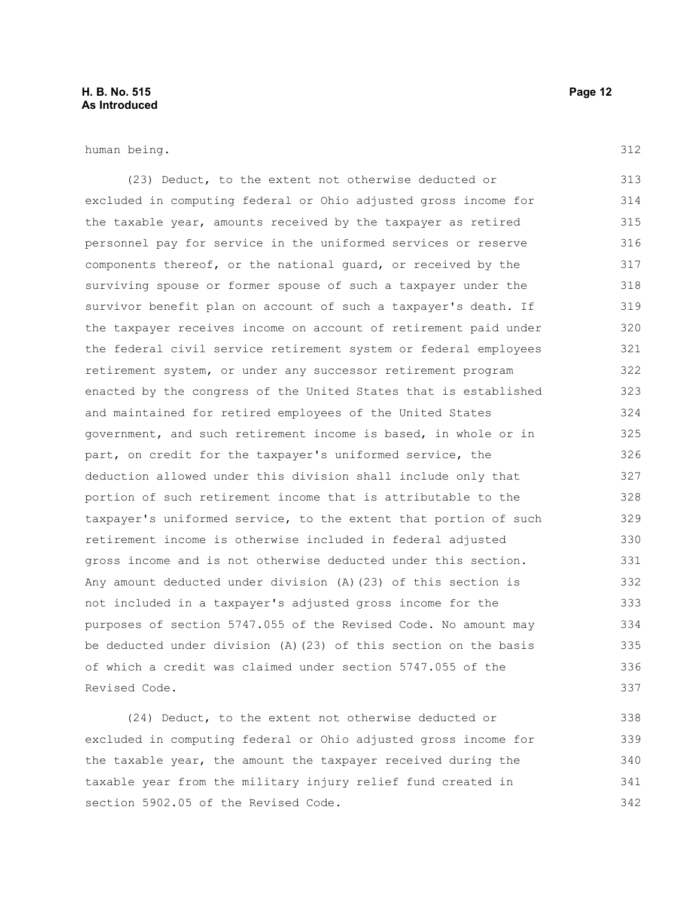#### **H. B. No. 515 Page 12 As Introduced**

human being.

(23) Deduct, to the extent not otherwise deducted or excluded in computing federal or Ohio adjusted gross income for the taxable year, amounts received by the taxpayer as retired personnel pay for service in the uniformed services or reserve components thereof, or the national guard, or received by the surviving spouse or former spouse of such a taxpayer under the survivor benefit plan on account of such a taxpayer's death. If the taxpayer receives income on account of retirement paid under the federal civil service retirement system or federal employees retirement system, or under any successor retirement program enacted by the congress of the United States that is established and maintained for retired employees of the United States government, and such retirement income is based, in whole or in part, on credit for the taxpayer's uniformed service, the deduction allowed under this division shall include only that portion of such retirement income that is attributable to the taxpayer's uniformed service, to the extent that portion of such retirement income is otherwise included in federal adjusted gross income and is not otherwise deducted under this section. Any amount deducted under division (A)(23) of this section is not included in a taxpayer's adjusted gross income for the purposes of section 5747.055 of the Revised Code. No amount may be deducted under division (A)(23) of this section on the basis of which a credit was claimed under section 5747.055 of the Revised Code. 313 314 315 316 317 318 319 320 321 322 323 324 325 326 327 328 329 330 331 332 333 334 335 336 337

(24) Deduct, to the extent not otherwise deducted or excluded in computing federal or Ohio adjusted gross income for the taxable year, the amount the taxpayer received during the taxable year from the military injury relief fund created in section 5902.05 of the Revised Code. 338 339 340 341 342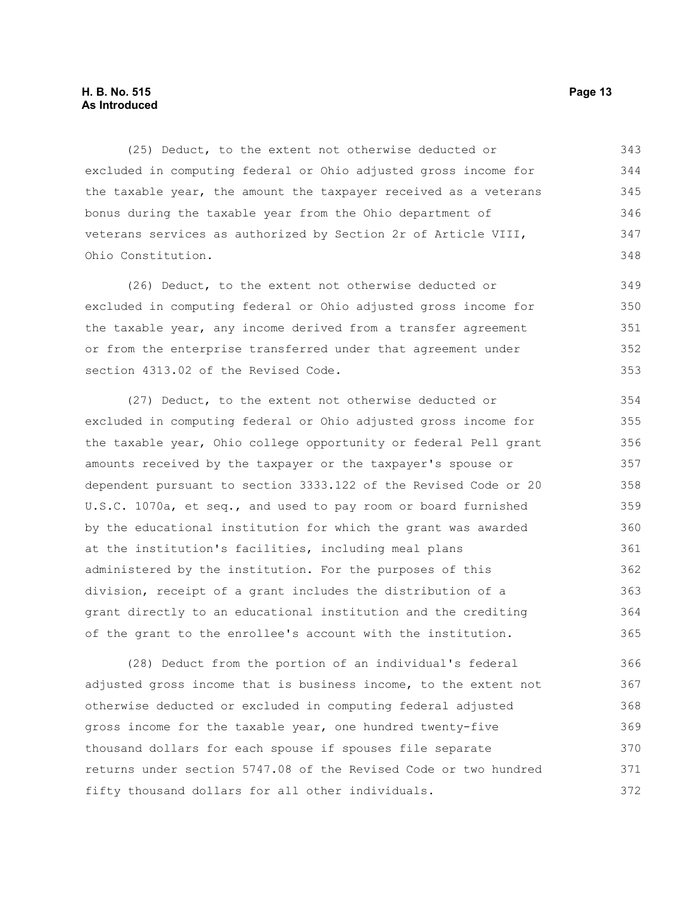#### **H. B. No. 515 Page 13 As Introduced**

(25) Deduct, to the extent not otherwise deducted or excluded in computing federal or Ohio adjusted gross income for the taxable year, the amount the taxpayer received as a veterans bonus during the taxable year from the Ohio department of veterans services as authorized by Section 2r of Article VIII, Ohio Constitution. 343 344 345 346 347 348

(26) Deduct, to the extent not otherwise deducted or excluded in computing federal or Ohio adjusted gross income for the taxable year, any income derived from a transfer agreement or from the enterprise transferred under that agreement under section 4313.02 of the Revised Code. 349 350 351 352 353

(27) Deduct, to the extent not otherwise deducted or excluded in computing federal or Ohio adjusted gross income for the taxable year, Ohio college opportunity or federal Pell grant amounts received by the taxpayer or the taxpayer's spouse or dependent pursuant to section 3333.122 of the Revised Code or 20 U.S.C. 1070a, et seq., and used to pay room or board furnished by the educational institution for which the grant was awarded at the institution's facilities, including meal plans administered by the institution. For the purposes of this division, receipt of a grant includes the distribution of a grant directly to an educational institution and the crediting of the grant to the enrollee's account with the institution. 354 355 356 357 358 359 360 361 362 363 364 365

(28) Deduct from the portion of an individual's federal adjusted gross income that is business income, to the extent not otherwise deducted or excluded in computing federal adjusted gross income for the taxable year, one hundred twenty-five thousand dollars for each spouse if spouses file separate returns under section 5747.08 of the Revised Code or two hundred fifty thousand dollars for all other individuals. 366 367 368 369 370 371 372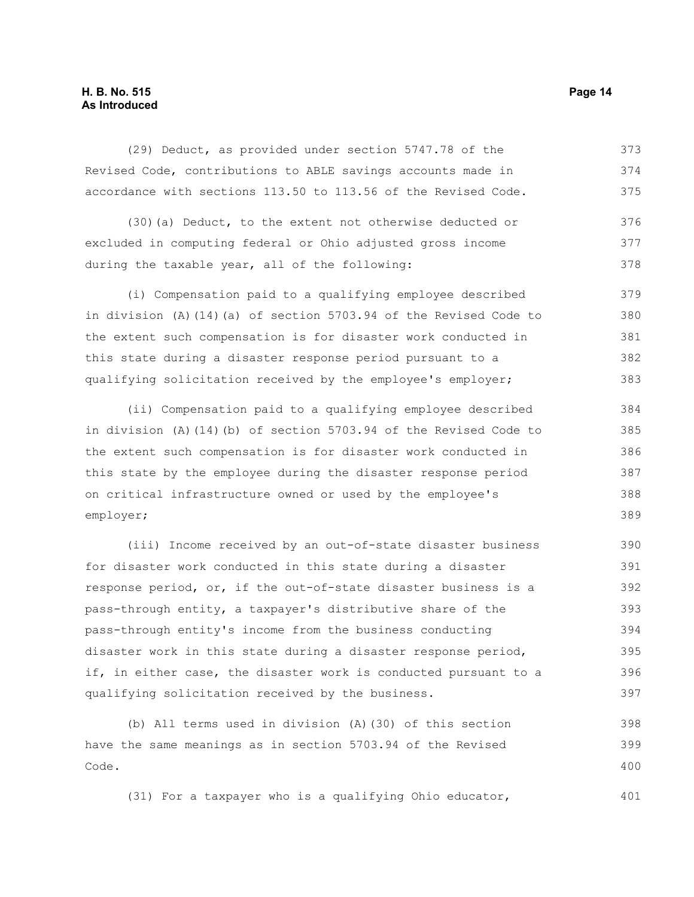#### **H. B. No. 515 Page 14 As Introduced**

(29) Deduct, as provided under section 5747.78 of the Revised Code, contributions to ABLE savings accounts made in accordance with sections 113.50 to 113.56 of the Revised Code. 373 374 375

(30)(a) Deduct, to the extent not otherwise deducted or excluded in computing federal or Ohio adjusted gross income during the taxable year, all of the following: 376 377 378

(i) Compensation paid to a qualifying employee described in division (A)(14)(a) of section 5703.94 of the Revised Code to the extent such compensation is for disaster work conducted in this state during a disaster response period pursuant to a qualifying solicitation received by the employee's employer; 379 380 381 382 383

(ii) Compensation paid to a qualifying employee described in division (A)(14)(b) of section 5703.94 of the Revised Code to the extent such compensation is for disaster work conducted in this state by the employee during the disaster response period on critical infrastructure owned or used by the employee's employer; 384 385 386 387 388 389

(iii) Income received by an out-of-state disaster business for disaster work conducted in this state during a disaster response period, or, if the out-of-state disaster business is a pass-through entity, a taxpayer's distributive share of the pass-through entity's income from the business conducting disaster work in this state during a disaster response period, if, in either case, the disaster work is conducted pursuant to a qualifying solicitation received by the business. 390 391 392 393 394 395 396 397

(b) All terms used in division (A)(30) of this section have the same meanings as in section 5703.94 of the Revised Code. 398 399 400

(31) For a taxpayer who is a qualifying Ohio educator,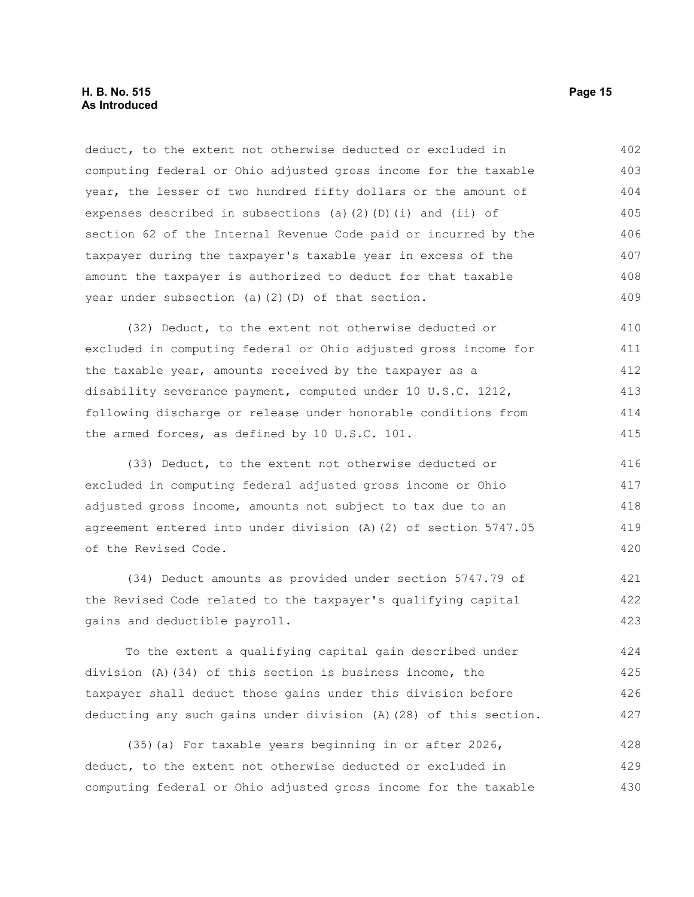deduct, to the extent not otherwise deducted or excluded in computing federal or Ohio adjusted gross income for the taxable year, the lesser of two hundred fifty dollars or the amount of expenses described in subsections (a)(2)(D)(i) and (ii) of section 62 of the Internal Revenue Code paid or incurred by the taxpayer during the taxpayer's taxable year in excess of the amount the taxpayer is authorized to deduct for that taxable year under subsection (a)(2)(D) of that section. 402 403 404 405 406 407 408 409

(32) Deduct, to the extent not otherwise deducted or excluded in computing federal or Ohio adjusted gross income for the taxable year, amounts received by the taxpayer as a disability severance payment, computed under 10 U.S.C. 1212, following discharge or release under honorable conditions from the armed forces, as defined by 10 U.S.C. 101. 410 411 412 413 414 415

(33) Deduct, to the extent not otherwise deducted or excluded in computing federal adjusted gross income or Ohio adjusted gross income, amounts not subject to tax due to an agreement entered into under division (A)(2) of section 5747.05 of the Revised Code. 416 417 418 419 420

(34) Deduct amounts as provided under section 5747.79 of the Revised Code related to the taxpayer's qualifying capital gains and deductible payroll. 421 422 423

To the extent a qualifying capital gain described under division (A)(34) of this section is business income, the taxpayer shall deduct those gains under this division before deducting any such gains under division (A)(28) of this section. 424 425 426 427

(35)(a) For taxable years beginning in or after 2026, deduct, to the extent not otherwise deducted or excluded in computing federal or Ohio adjusted gross income for the taxable 428 429 430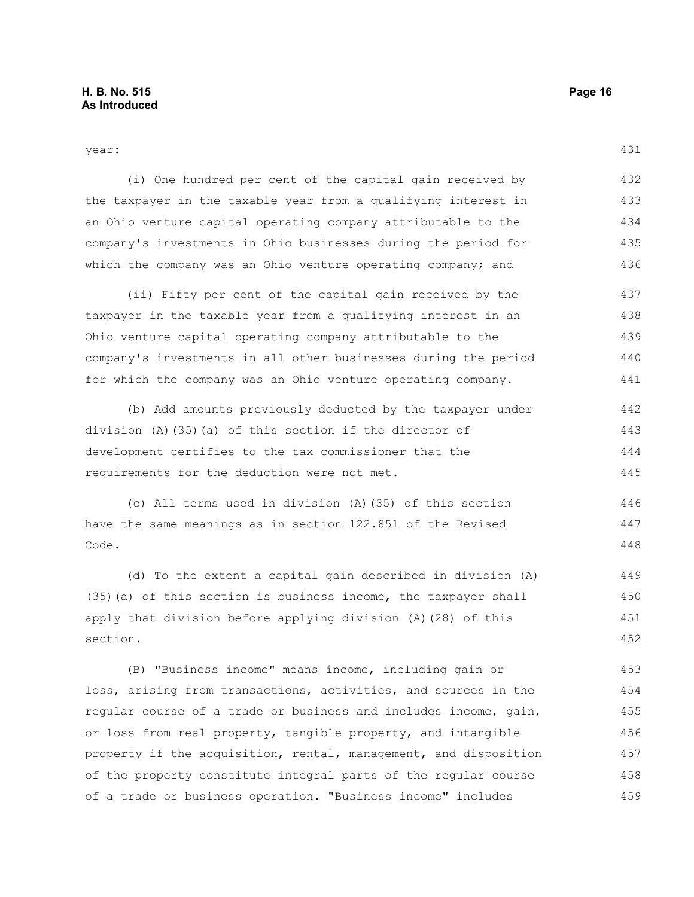431

year:

(i) One hundred per cent of the capital gain received by the taxpayer in the taxable year from a qualifying interest in an Ohio venture capital operating company attributable to the company's investments in Ohio businesses during the period for which the company was an Ohio venture operating company; and 432 433 434 435 436

(ii) Fifty per cent of the capital gain received by the taxpayer in the taxable year from a qualifying interest in an Ohio venture capital operating company attributable to the company's investments in all other businesses during the period for which the company was an Ohio venture operating company. 437 438 439 440 441

(b) Add amounts previously deducted by the taxpayer under division (A)(35)(a) of this section if the director of development certifies to the tax commissioner that the requirements for the deduction were not met. 442 443 444 445

(c) All terms used in division (A)(35) of this section have the same meanings as in section 122.851 of the Revised Code. 446 447 448

(d) To the extent a capital gain described in division (A) (35)(a) of this section is business income, the taxpayer shall apply that division before applying division (A)(28) of this section. 449 450 451 452

(B) "Business income" means income, including gain or loss, arising from transactions, activities, and sources in the regular course of a trade or business and includes income, gain, or loss from real property, tangible property, and intangible property if the acquisition, rental, management, and disposition of the property constitute integral parts of the regular course of a trade or business operation. "Business income" includes 453 454 455 456 457 458 459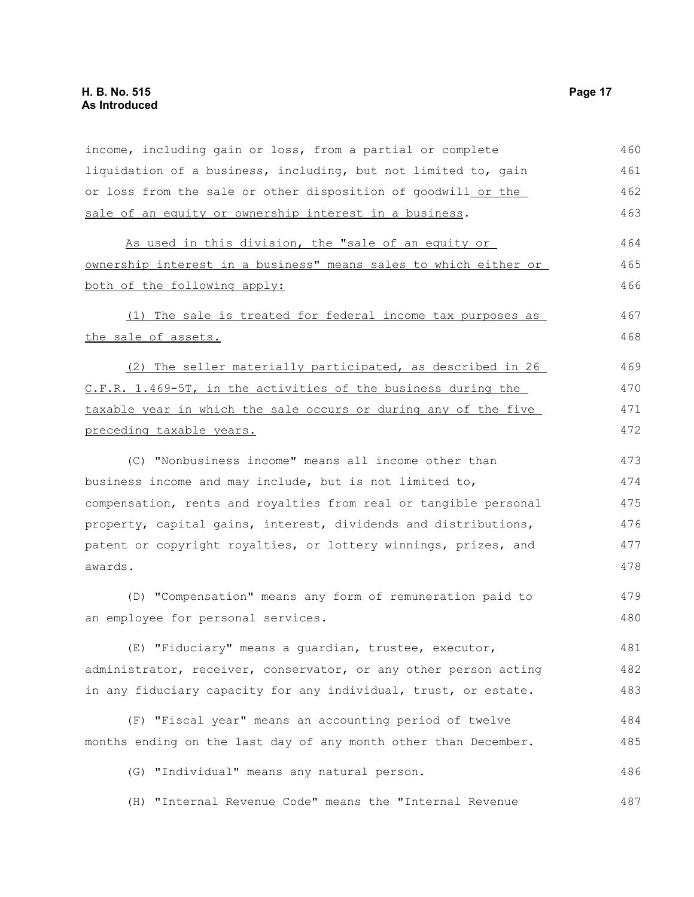| income, including gain or loss, from a partial or complete       | 460 |
|------------------------------------------------------------------|-----|
| liquidation of a business, including, but not limited to, gain   | 461 |
| or loss from the sale or other disposition of goodwill_or the_   | 462 |
| sale of an equity or ownership interest in a business.           | 463 |
| As used in this division, the "sale of an equity or              | 464 |
| ownership interest in a business" means sales to which either or |     |
| both of the following apply:                                     | 466 |
| (1) The sale is treated for federal income tax purposes as       | 467 |
| the sale of assets.                                              | 468 |
| (2) The seller materially participated, as described in 26       | 469 |
| C.F.R. 1.469-5T, in the activities of the business during the    | 470 |
| taxable year in which the sale occurs or during any of the five  | 471 |
| preceding taxable years.                                         | 472 |
| (C) "Nonbusiness income" means all income other than             | 473 |
| business income and may include, but is not limited to,          | 474 |
| compensation, rents and royalties from real or tangible personal | 475 |
| property, capital gains, interest, dividends and distributions,  | 476 |
| patent or copyright royalties, or lottery winnings, prizes, and  | 477 |
| awards.                                                          | 478 |
| (D) "Compensation" means any form of remuneration paid to        | 479 |
| an employee for personal services.                               | 480 |
| (E) "Fiduciary" means a quardian, trustee, executor,             | 481 |
| administrator, receiver, conservator, or any other person acting | 482 |
| in any fiduciary capacity for any individual, trust, or estate.  | 483 |
| (F) "Fiscal year" means an accounting period of twelve           | 484 |
| months ending on the last day of any month other than December.  | 485 |
| (G) "Individual" means any natural person.                       | 486 |
| (H) "Internal Revenue Code" means the "Internal Revenue          | 487 |
|                                                                  |     |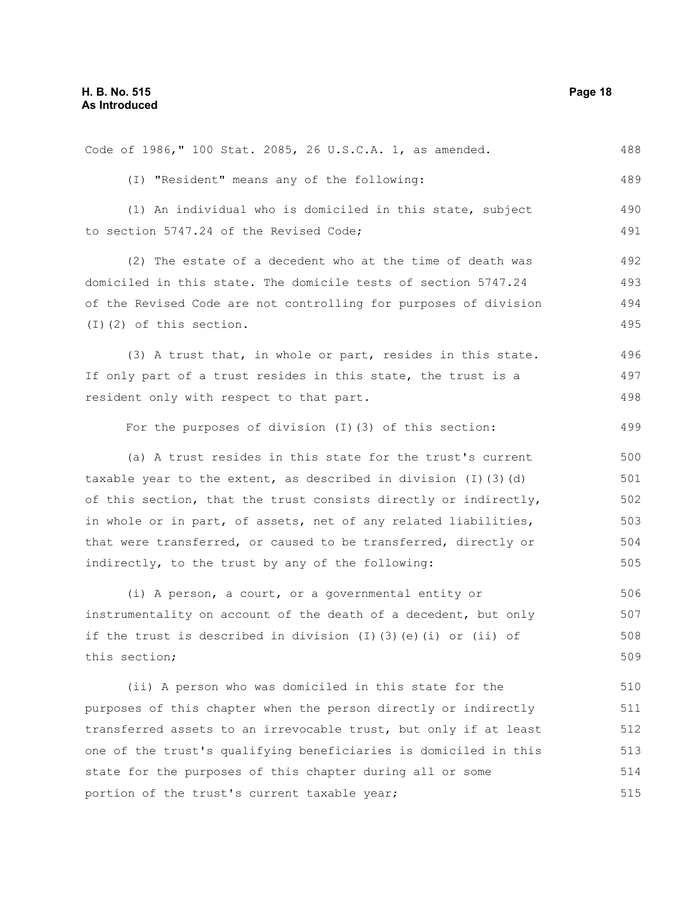| Code of 1986," 100 Stat. 2085, 26 U.S.C.A. 1, as amended.                  | 488 |
|----------------------------------------------------------------------------|-----|
| (I) "Resident" means any of the following:                                 | 489 |
| (1) An individual who is domiciled in this state, subject                  | 490 |
| to section 5747.24 of the Revised Code;                                    | 491 |
| (2) The estate of a decedent who at the time of death was                  | 492 |
| domiciled in this state. The domicile tests of section 5747.24             | 493 |
| of the Revised Code are not controlling for purposes of division           | 494 |
| $(I)$ $(2)$ of this section.                                               | 495 |
| (3) A trust that, in whole or part, resides in this state.                 | 496 |
| If only part of a trust resides in this state, the trust is a              | 497 |
| resident only with respect to that part.                                   | 498 |
| For the purposes of division (I) (3) of this section:                      | 499 |
| (a) A trust resides in this state for the trust's current                  | 500 |
| taxable year to the extent, as described in division $(I)$ $(3)$ $(d)$     | 501 |
| of this section, that the trust consists directly or indirectly,           | 502 |
| in whole or in part, of assets, net of any related liabilities,            | 503 |
| that were transferred, or caused to be transferred, directly or            | 504 |
| indirectly, to the trust by any of the following:                          | 505 |
| (i) A person, a court, or a governmental entity or                         | 506 |
| instrumentality on account of the death of a decedent, but only            | 507 |
| if the trust is described in division $(I)$ $(3)$ $(e)$ $(i)$ or $(ii)$ of | 508 |
| this section;                                                              | 509 |
| (ii) A person who was domiciled in this state for the                      | 510 |
| purposes of this chapter when the person directly or indirectly            | 511 |
| transferred assets to an irrevocable trust, but only if at least           |     |
| one of the trust's qualifying beneficiaries is domiciled in this           |     |
| state for the purposes of this chapter during all or some                  | 514 |
| portion of the trust's current taxable year;                               |     |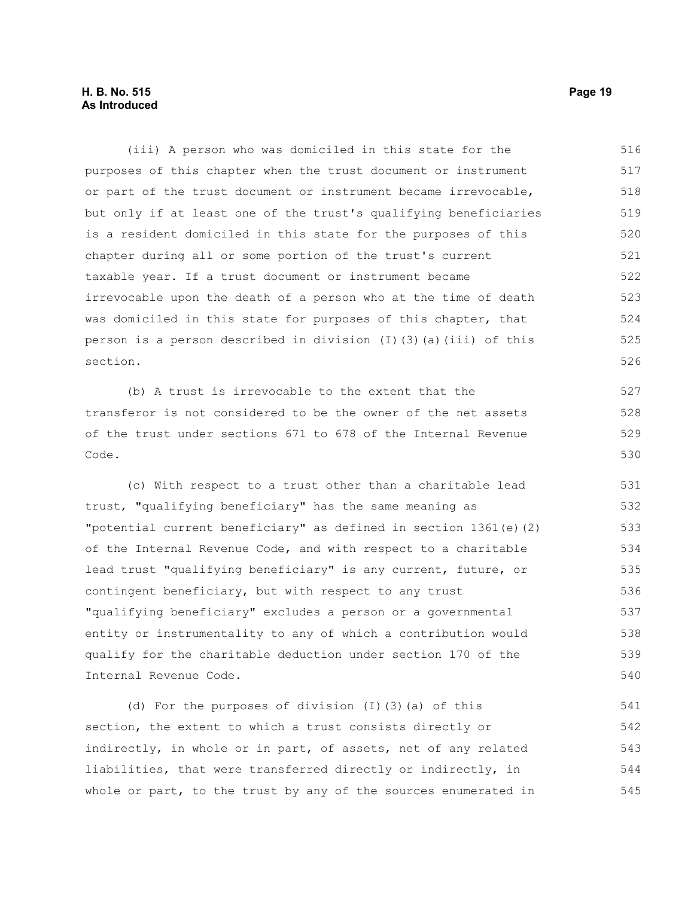(iii) A person who was domiciled in this state for the purposes of this chapter when the trust document or instrument or part of the trust document or instrument became irrevocable, but only if at least one of the trust's qualifying beneficiaries is a resident domiciled in this state for the purposes of this chapter during all or some portion of the trust's current taxable year. If a trust document or instrument became irrevocable upon the death of a person who at the time of death was domiciled in this state for purposes of this chapter, that person is a person described in division (I)(3)(a)(iii) of this section. 516 517 518 519 520 521 522 523 524 525 526

(b) A trust is irrevocable to the extent that the transferor is not considered to be the owner of the net assets of the trust under sections 671 to 678 of the Internal Revenue Code.

(c) With respect to a trust other than a charitable lead trust, "qualifying beneficiary" has the same meaning as "potential current beneficiary" as defined in section 1361(e)(2) of the Internal Revenue Code, and with respect to a charitable lead trust "qualifying beneficiary" is any current, future, or contingent beneficiary, but with respect to any trust "qualifying beneficiary" excludes a person or a governmental entity or instrumentality to any of which a contribution would qualify for the charitable deduction under section 170 of the Internal Revenue Code. 531 532 533 534 535 536 537 538 539 540

(d) For the purposes of division (I)(3)(a) of this section, the extent to which a trust consists directly or indirectly, in whole or in part, of assets, net of any related liabilities, that were transferred directly or indirectly, in whole or part, to the trust by any of the sources enumerated in 541 542 543 544 545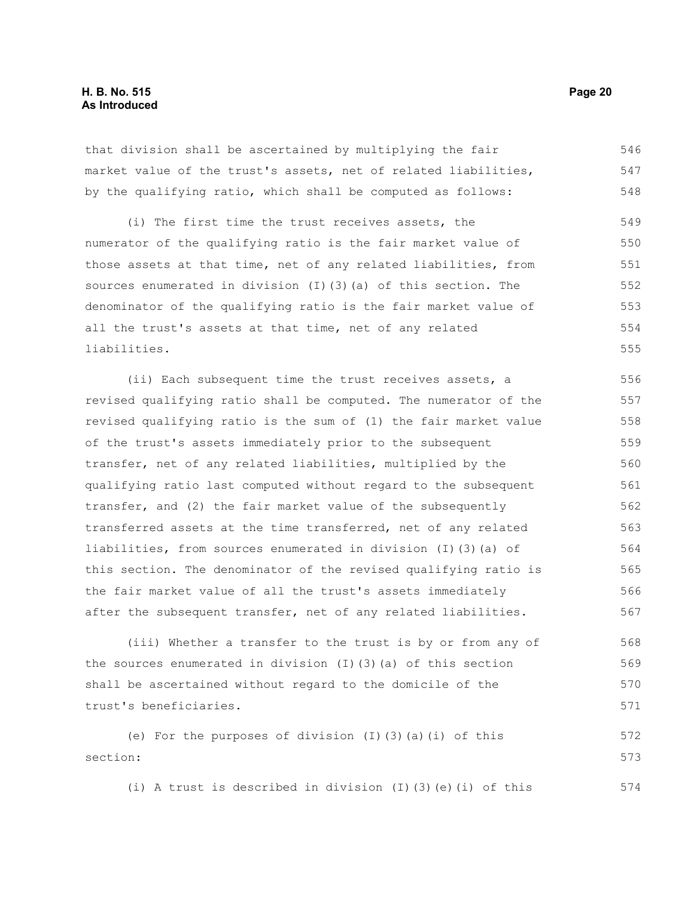that division shall be ascertained by multiplying the fair market value of the trust's assets, net of related liabilities, by the qualifying ratio, which shall be computed as follows: 546 547 548

(i) The first time the trust receives assets, the numerator of the qualifying ratio is the fair market value of those assets at that time, net of any related liabilities, from sources enumerated in division (I)(3)(a) of this section. The denominator of the qualifying ratio is the fair market value of all the trust's assets at that time, net of any related liabilities. 549 550 551 552 553 554 555

(ii) Each subsequent time the trust receives assets, a revised qualifying ratio shall be computed. The numerator of the revised qualifying ratio is the sum of (1) the fair market value of the trust's assets immediately prior to the subsequent transfer, net of any related liabilities, multiplied by the qualifying ratio last computed without regard to the subsequent transfer, and (2) the fair market value of the subsequently transferred assets at the time transferred, net of any related liabilities, from sources enumerated in division (I)(3)(a) of this section. The denominator of the revised qualifying ratio is the fair market value of all the trust's assets immediately after the subsequent transfer, net of any related liabilities. 556 557 558 559 560 561 562 563 564 565 566 567

(iii) Whether a transfer to the trust is by or from any of the sources enumerated in division (I)(3)(a) of this section shall be ascertained without regard to the domicile of the trust's beneficiaries. 568 569 570 571

(e) For the purposes of division (I)(3)(a)(i) of this section: 572 573

(i) A trust is described in division (I)(3)(e)(i) of this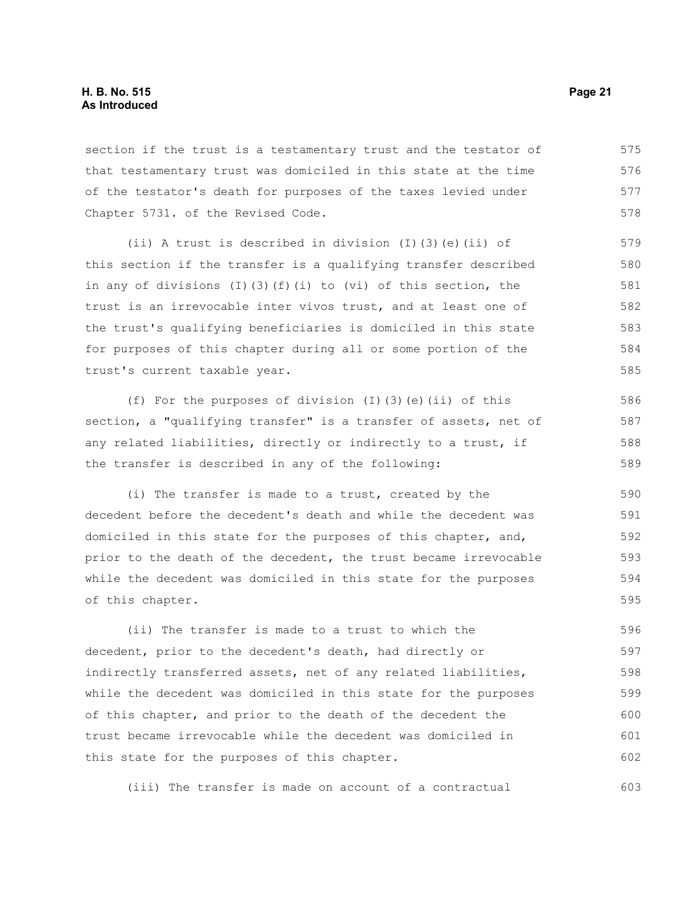section if the trust is a testamentary trust and the testator of that testamentary trust was domiciled in this state at the time of the testator's death for purposes of the taxes levied under Chapter 5731. of the Revised Code. 575 576 577 578

(ii) A trust is described in division (I)(3)(e)(ii) of this section if the transfer is a qualifying transfer described in any of divisions (I)(3)(f)(i) to (vi) of this section, the trust is an irrevocable inter vivos trust, and at least one of the trust's qualifying beneficiaries is domiciled in this state for purposes of this chapter during all or some portion of the trust's current taxable year.

(f) For the purposes of division  $(I)(3)(e)(ii)$  of this section, a "qualifying transfer" is a transfer of assets, net of any related liabilities, directly or indirectly to a trust, if the transfer is described in any of the following:

(i) The transfer is made to a trust, created by the decedent before the decedent's death and while the decedent was domiciled in this state for the purposes of this chapter, and, prior to the death of the decedent, the trust became irrevocable while the decedent was domiciled in this state for the purposes of this chapter. 590 591 592 593 594 595

(ii) The transfer is made to a trust to which the decedent, prior to the decedent's death, had directly or indirectly transferred assets, net of any related liabilities, while the decedent was domiciled in this state for the purposes of this chapter, and prior to the death of the decedent the trust became irrevocable while the decedent was domiciled in this state for the purposes of this chapter. 596 597 598 599 600 601 602

(iii) The transfer is made on account of a contractual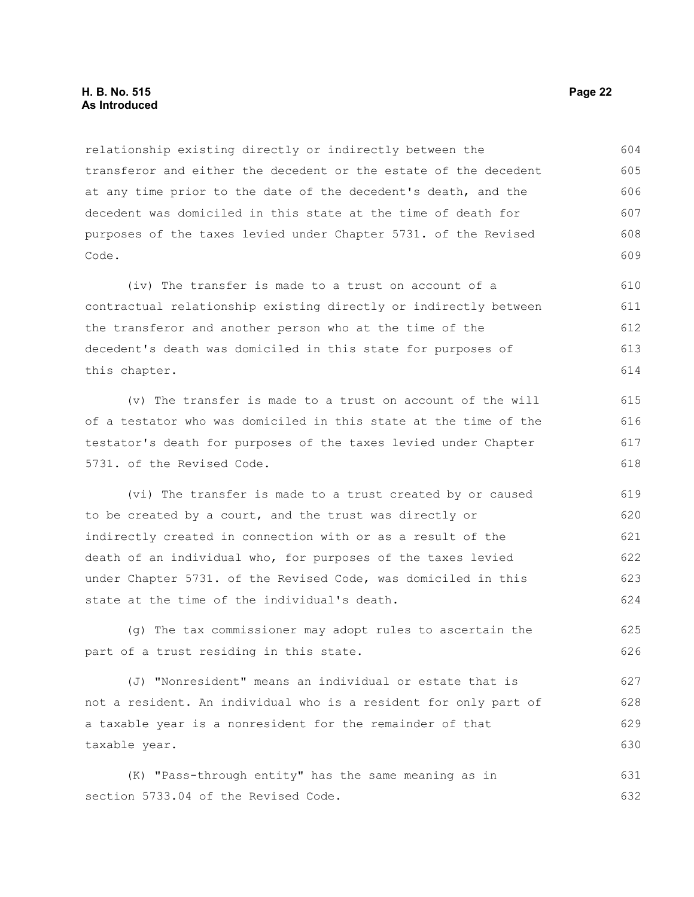#### **H. B. No. 515 Page 22 As Introduced**

relationship existing directly or indirectly between the transferor and either the decedent or the estate of the decedent at any time prior to the date of the decedent's death, and the decedent was domiciled in this state at the time of death for purposes of the taxes levied under Chapter 5731. of the Revised Code. 604 605 606 607 608 609

(iv) The transfer is made to a trust on account of a contractual relationship existing directly or indirectly between the transferor and another person who at the time of the decedent's death was domiciled in this state for purposes of this chapter. 610 611 612 613 614

(v) The transfer is made to a trust on account of the will of a testator who was domiciled in this state at the time of the testator's death for purposes of the taxes levied under Chapter 5731. of the Revised Code.

(vi) The transfer is made to a trust created by or caused to be created by a court, and the trust was directly or indirectly created in connection with or as a result of the death of an individual who, for purposes of the taxes levied under Chapter 5731. of the Revised Code, was domiciled in this state at the time of the individual's death. 619 620 621 622 623 624

(g) The tax commissioner may adopt rules to ascertain the part of a trust residing in this state.

(J) "Nonresident" means an individual or estate that is not a resident. An individual who is a resident for only part of a taxable year is a nonresident for the remainder of that taxable year. 627 628 629 630

(K) "Pass-through entity" has the same meaning as in section 5733.04 of the Revised Code. 631 632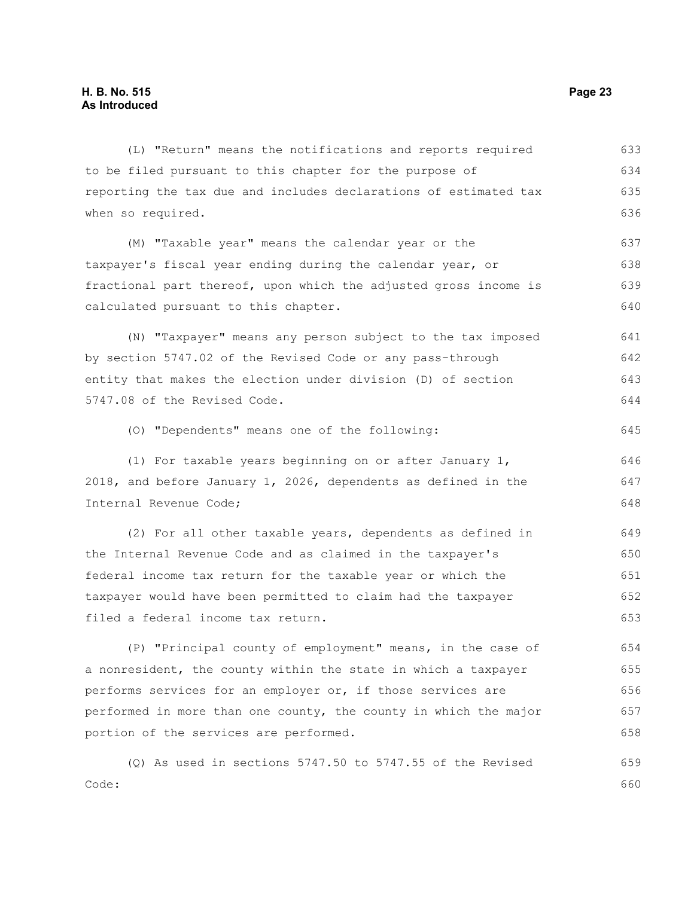Code:

(L) "Return" means the notifications and reports required to be filed pursuant to this chapter for the purpose of reporting the tax due and includes declarations of estimated tax when so required. (M) "Taxable year" means the calendar year or the taxpayer's fiscal year ending during the calendar year, or fractional part thereof, upon which the adjusted gross income is calculated pursuant to this chapter. (N) "Taxpayer" means any person subject to the tax imposed by section 5747.02 of the Revised Code or any pass-through entity that makes the election under division (D) of section 5747.08 of the Revised Code. (O) "Dependents" means one of the following: (1) For taxable years beginning on or after January 1, 2018, and before January 1, 2026, dependents as defined in the Internal Revenue Code; (2) For all other taxable years, dependents as defined in the Internal Revenue Code and as claimed in the taxpayer's federal income tax return for the taxable year or which the taxpayer would have been permitted to claim had the taxpayer filed a federal income tax return. (P) "Principal county of employment" means, in the case of a nonresident, the county within the state in which a taxpayer performs services for an employer or, if those services are performed in more than one county, the county in which the major portion of the services are performed. (Q) As used in sections 5747.50 to 5747.55 of the Revised 633 634 635 636 637 638 639 640 641 642 643 644 645 646 647 648 649 650 651 652 653 654 655 656 657 658 659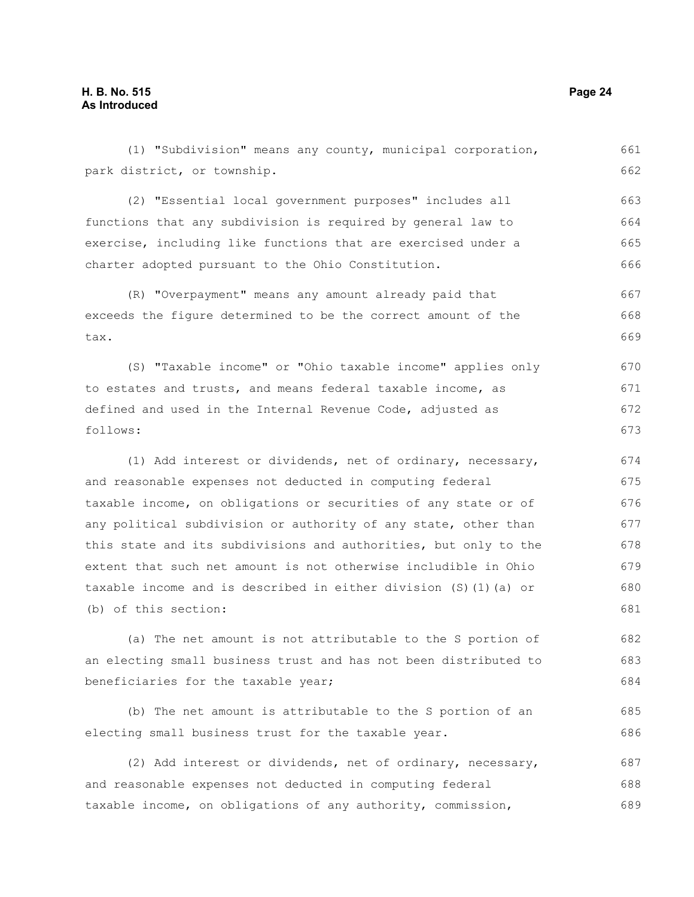(1) "Subdivision" means any county, municipal corporation, park district, or township. (2) "Essential local government purposes" includes all functions that any subdivision is required by general law to exercise, including like functions that are exercised under a charter adopted pursuant to the Ohio Constitution. (R) "Overpayment" means any amount already paid that exceeds the figure determined to be the correct amount of the tax. (S) "Taxable income" or "Ohio taxable income" applies only to estates and trusts, and means federal taxable income, as defined and used in the Internal Revenue Code, adjusted as follows: (1) Add interest or dividends, net of ordinary, necessary, and reasonable expenses not deducted in computing federal taxable income, on obligations or securities of any state or of any political subdivision or authority of any state, other than this state and its subdivisions and authorities, but only to the extent that such net amount is not otherwise includible in Ohio taxable income and is described in either division (S)(1)(a) or (b) of this section: (a) The net amount is not attributable to the S portion of an electing small business trust and has not been distributed to beneficiaries for the taxable year; (b) The net amount is attributable to the S portion of an electing small business trust for the taxable year. (2) Add interest or dividends, net of ordinary, necessary, 661 662 663 664 665 666 667 668 669 670 671 672 673 674 675 676 677 678 679 680 681 682 683 684 685 686 687

and reasonable expenses not deducted in computing federal taxable income, on obligations of any authority, commission, 688 689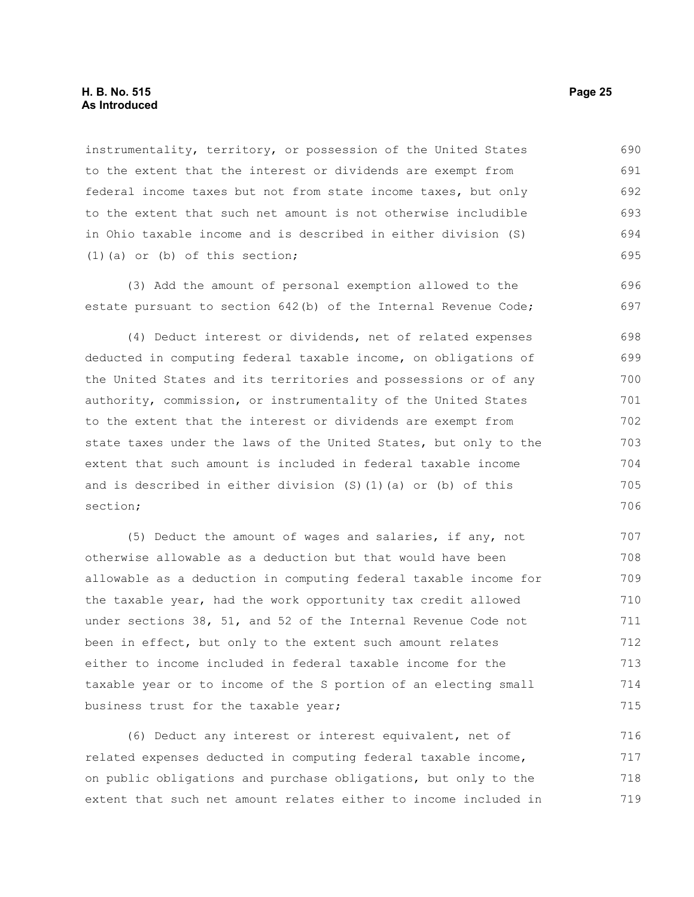instrumentality, territory, or possession of the United States to the extent that the interest or dividends are exempt from federal income taxes but not from state income taxes, but only to the extent that such net amount is not otherwise includible in Ohio taxable income and is described in either division (S) (1)(a) or (b) of this section; 690 691 692 693 694 695

(3) Add the amount of personal exemption allowed to the estate pursuant to section 642(b) of the Internal Revenue Code; 696 697

(4) Deduct interest or dividends, net of related expenses deducted in computing federal taxable income, on obligations of the United States and its territories and possessions or of any authority, commission, or instrumentality of the United States to the extent that the interest or dividends are exempt from state taxes under the laws of the United States, but only to the extent that such amount is included in federal taxable income and is described in either division (S)(1)(a) or (b) of this section; 698 699 700 701 702 703 704 705 706

(5) Deduct the amount of wages and salaries, if any, not otherwise allowable as a deduction but that would have been allowable as a deduction in computing federal taxable income for the taxable year, had the work opportunity tax credit allowed under sections 38, 51, and 52 of the Internal Revenue Code not been in effect, but only to the extent such amount relates either to income included in federal taxable income for the taxable year or to income of the S portion of an electing small business trust for the taxable year; 707 708 709 710 711 712 713 714 715

(6) Deduct any interest or interest equivalent, net of related expenses deducted in computing federal taxable income, on public obligations and purchase obligations, but only to the extent that such net amount relates either to income included in 716 717 718 719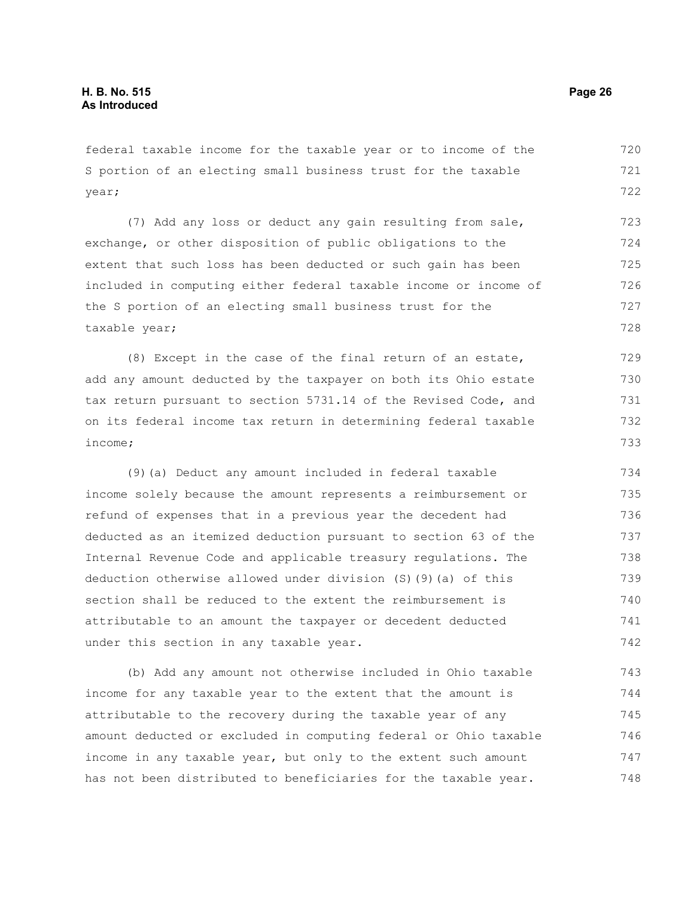federal taxable income for the taxable year or to income of the S portion of an electing small business trust for the taxable year; 720 721 722

(7) Add any loss or deduct any gain resulting from sale, exchange, or other disposition of public obligations to the extent that such loss has been deducted or such gain has been included in computing either federal taxable income or income of the S portion of an electing small business trust for the taxable year; 723 724 725 726 727 728

(8) Except in the case of the final return of an estate, add any amount deducted by the taxpayer on both its Ohio estate tax return pursuant to section 5731.14 of the Revised Code, and on its federal income tax return in determining federal taxable income; 729 730 731 732 733

(9)(a) Deduct any amount included in federal taxable income solely because the amount represents a reimbursement or refund of expenses that in a previous year the decedent had deducted as an itemized deduction pursuant to section 63 of the Internal Revenue Code and applicable treasury regulations. The deduction otherwise allowed under division (S)(9)(a) of this section shall be reduced to the extent the reimbursement is attributable to an amount the taxpayer or decedent deducted under this section in any taxable year. 734 735 736 737 738 739 740 741 742

(b) Add any amount not otherwise included in Ohio taxable income for any taxable year to the extent that the amount is attributable to the recovery during the taxable year of any amount deducted or excluded in computing federal or Ohio taxable income in any taxable year, but only to the extent such amount has not been distributed to beneficiaries for the taxable year. 743 744 745 746 747 748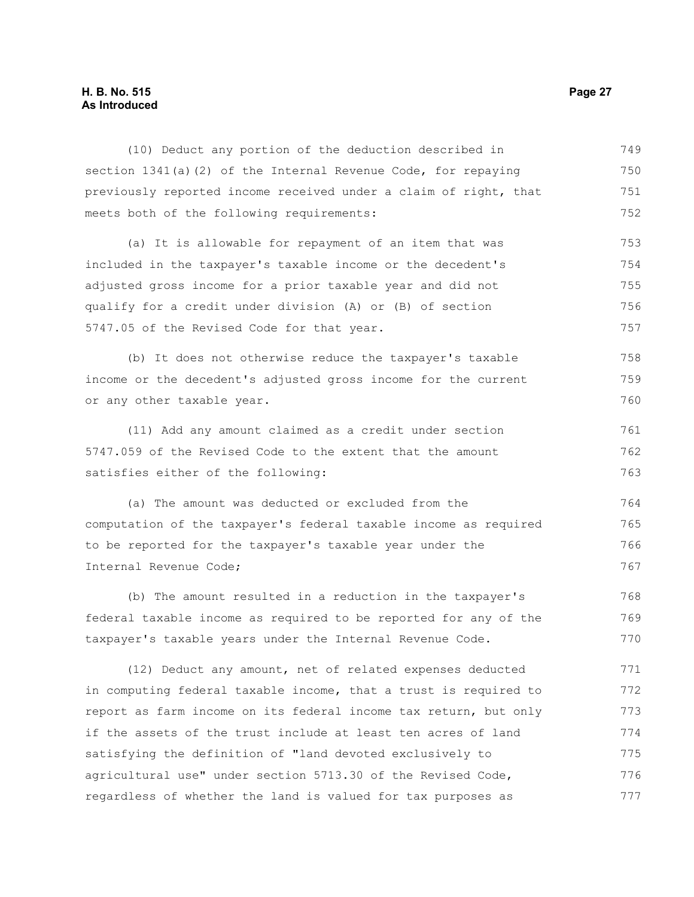#### **H. B. No. 515 Page 27 As Introduced**

(10) Deduct any portion of the deduction described in section 1341(a)(2) of the Internal Revenue Code, for repaying previously reported income received under a claim of right, that meets both of the following requirements: (a) It is allowable for repayment of an item that was included in the taxpayer's taxable income or the decedent's adjusted gross income for a prior taxable year and did not qualify for a credit under division (A) or (B) of section 5747.05 of the Revised Code for that year. (b) It does not otherwise reduce the taxpayer's taxable income or the decedent's adjusted gross income for the current or any other taxable year. (11) Add any amount claimed as a credit under section 5747.059 of the Revised Code to the extent that the amount satisfies either of the following: (a) The amount was deducted or excluded from the computation of the taxpayer's federal taxable income as required to be reported for the taxpayer's taxable year under the Internal Revenue Code; (b) The amount resulted in a reduction in the taxpayer's federal taxable income as required to be reported for any of the taxpayer's taxable years under the Internal Revenue Code. 750 751 752 753 754 755 756 757 758 759 760 761 762 763 764 765 766 767 768 769 770

(12) Deduct any amount, net of related expenses deducted in computing federal taxable income, that a trust is required to report as farm income on its federal income tax return, but only if the assets of the trust include at least ten acres of land satisfying the definition of "land devoted exclusively to agricultural use" under section 5713.30 of the Revised Code, regardless of whether the land is valued for tax purposes as 771 772 773 774 775 776 777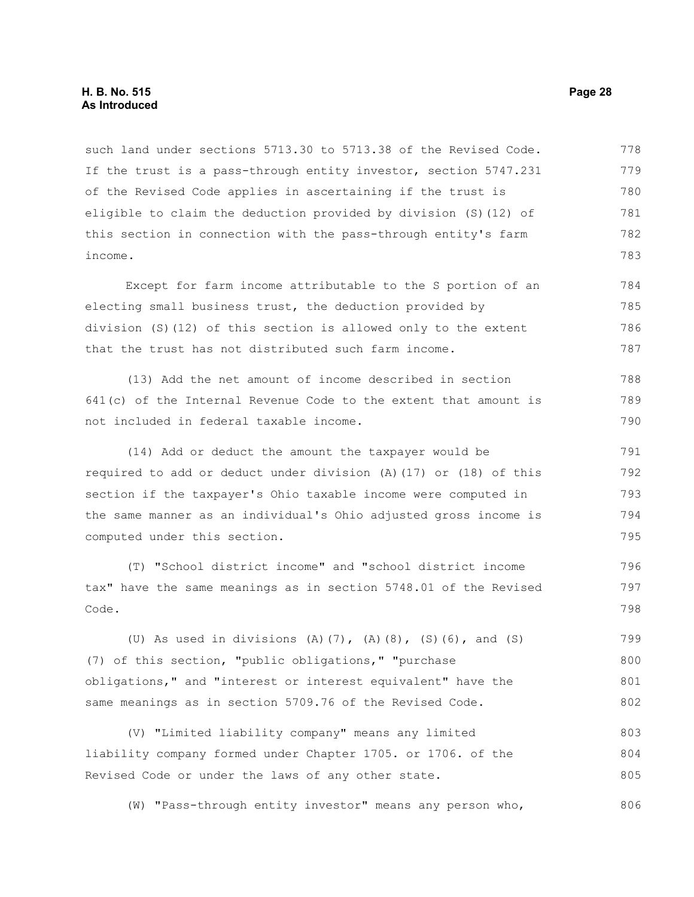such land under sections 5713.30 to 5713.38 of the Revised Code. If the trust is a pass-through entity investor, section 5747.231 of the Revised Code applies in ascertaining if the trust is eligible to claim the deduction provided by division (S)(12) of this section in connection with the pass-through entity's farm income. 778 779 780 781 782 783

Except for farm income attributable to the S portion of an electing small business trust, the deduction provided by division (S)(12) of this section is allowed only to the extent that the trust has not distributed such farm income. 784 785 786 787

(13) Add the net amount of income described in section 641(c) of the Internal Revenue Code to the extent that amount is not included in federal taxable income. 788 789 790

(14) Add or deduct the amount the taxpayer would be required to add or deduct under division (A)(17) or (18) of this section if the taxpayer's Ohio taxable income were computed in the same manner as an individual's Ohio adjusted gross income is computed under this section. 791 792 793 794 795

(T) "School district income" and "school district income tax" have the same meanings as in section 5748.01 of the Revised Code.

(U) As used in divisions (A)(7), (A)(8), (S)(6), and (S) (7) of this section, "public obligations," "purchase obligations," and "interest or interest equivalent" have the same meanings as in section 5709.76 of the Revised Code. 799 800 801 802

(V) "Limited liability company" means any limited liability company formed under Chapter 1705. or 1706. of the Revised Code or under the laws of any other state. 803 804 805

(W) "Pass-through entity investor" means any person who, 806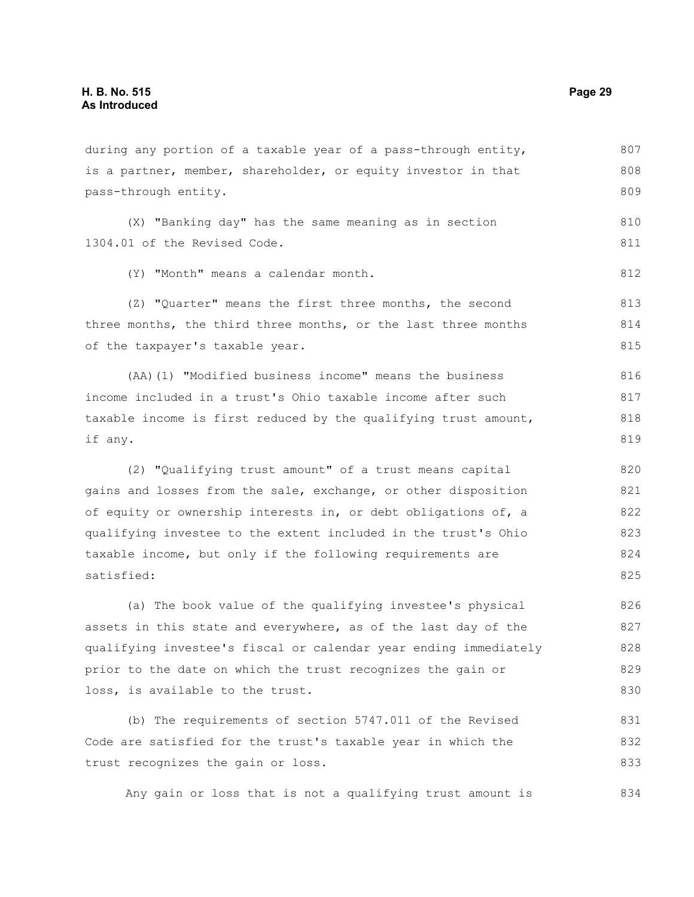during any portion of a taxable year of a pass-through entity, is a partner, member, shareholder, or equity investor in that pass-through entity. (X) "Banking day" has the same meaning as in section 1304.01 of the Revised Code. (Y) "Month" means a calendar month. (Z) "Quarter" means the first three months, the second three months, the third three months, or the last three months of the taxpayer's taxable year. (AA)(1) "Modified business income" means the business income included in a trust's Ohio taxable income after such taxable income is first reduced by the qualifying trust amount, if any. (2) "Qualifying trust amount" of a trust means capital gains and losses from the sale, exchange, or other disposition of equity or ownership interests in, or debt obligations of, a qualifying investee to the extent included in the trust's Ohio taxable income, but only if the following requirements are satisfied: (a) The book value of the qualifying investee's physical assets in this state and everywhere, as of the last day of the qualifying investee's fiscal or calendar year ending immediately prior to the date on which the trust recognizes the gain or loss, is available to the trust. 807 808 809 810 811 812 813 814 815 816 817 818 819 820 821 822 823 824 825 826 827 828 829 830

(b) The requirements of section 5747.011 of the Revised Code are satisfied for the trust's taxable year in which the trust recognizes the gain or loss. 831 832 833

Any gain or loss that is not a qualifying trust amount is 834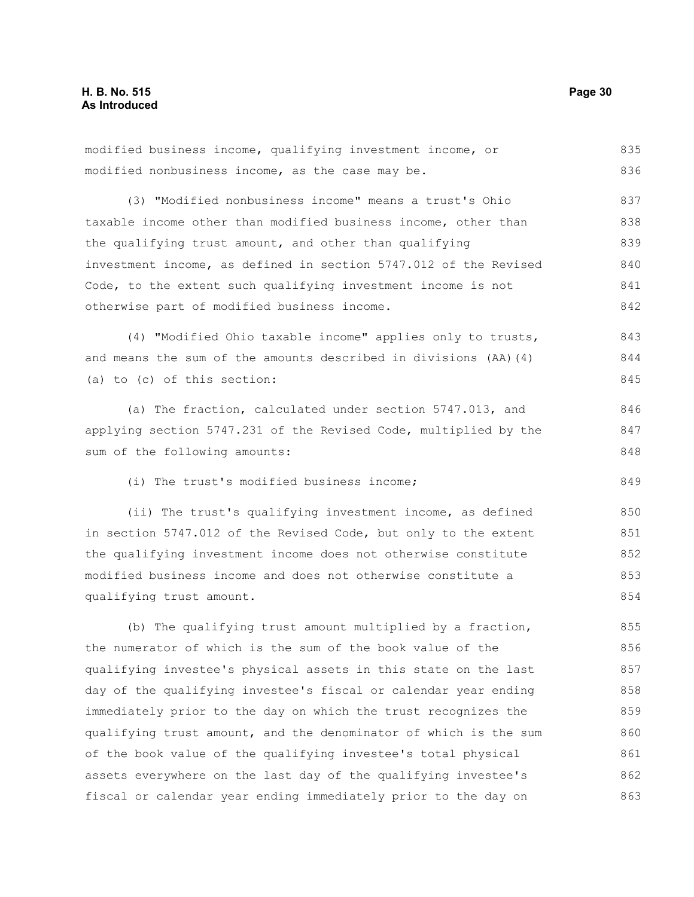modified business income, qualifying investment income, or modified nonbusiness income, as the case may be. (3) "Modified nonbusiness income" means a trust's Ohio taxable income other than modified business income, other than the qualifying trust amount, and other than qualifying investment income, as defined in section 5747.012 of the Revised Code, to the extent such qualifying investment income is not otherwise part of modified business income. (4) "Modified Ohio taxable income" applies only to trusts, and means the sum of the amounts described in divisions (AA)(4) (a) to (c) of this section: (a) The fraction, calculated under section 5747.013, and applying section 5747.231 of the Revised Code, multiplied by the sum of the following amounts: (i) The trust's modified business income; (ii) The trust's qualifying investment income, as defined in section 5747.012 of the Revised Code, but only to the extent the qualifying investment income does not otherwise constitute modified business income and does not otherwise constitute a qualifying trust amount. (b) The qualifying trust amount multiplied by a fraction, the numerator of which is the sum of the book value of the 835 836 837 838 839 840 841 842 843 844 845 846 847 848 849 850 851 852 853 854 855 856

qualifying investee's physical assets in this state on the last day of the qualifying investee's fiscal or calendar year ending immediately prior to the day on which the trust recognizes the qualifying trust amount, and the denominator of which is the sum of the book value of the qualifying investee's total physical assets everywhere on the last day of the qualifying investee's fiscal or calendar year ending immediately prior to the day on 857 858 859 860 861 862 863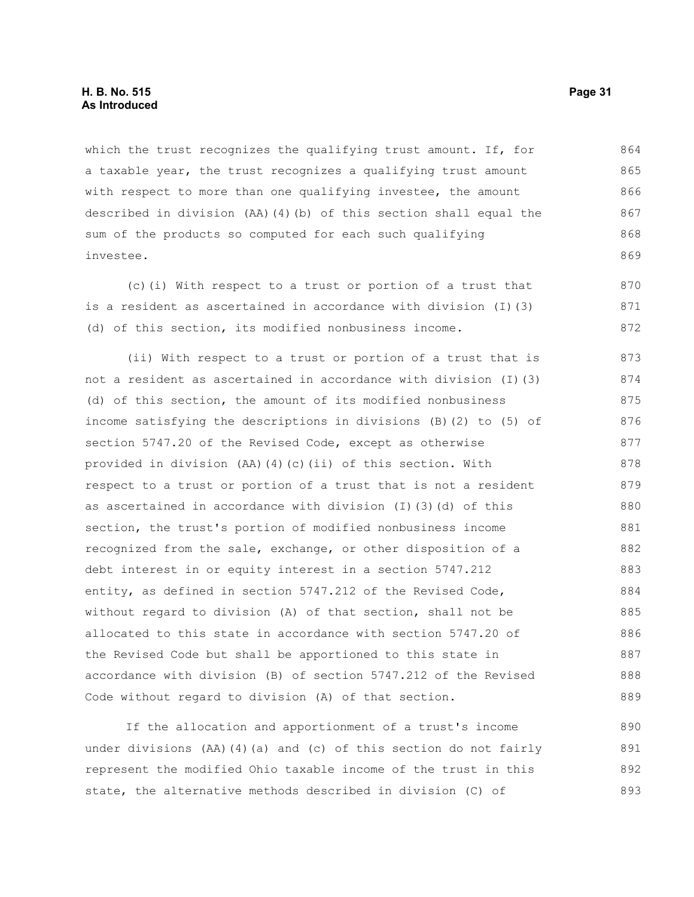which the trust recognizes the qualifying trust amount. If, for a taxable year, the trust recognizes a qualifying trust amount with respect to more than one qualifying investee, the amount described in division (AA)(4)(b) of this section shall equal the sum of the products so computed for each such qualifying investee. 864 865 866 867 868 869

(c)(i) With respect to a trust or portion of a trust that is a resident as ascertained in accordance with division (I)(3) (d) of this section, its modified nonbusiness income.

(ii) With respect to a trust or portion of a trust that is not a resident as ascertained in accordance with division (I)(3) (d) of this section, the amount of its modified nonbusiness income satisfying the descriptions in divisions (B)(2) to (5) of section 5747.20 of the Revised Code, except as otherwise provided in division (AA)(4)(c)(ii) of this section. With respect to a trust or portion of a trust that is not a resident as ascertained in accordance with division (I)(3)(d) of this section, the trust's portion of modified nonbusiness income recognized from the sale, exchange, or other disposition of a debt interest in or equity interest in a section 5747.212 entity, as defined in section 5747.212 of the Revised Code, without regard to division (A) of that section, shall not be allocated to this state in accordance with section 5747.20 of the Revised Code but shall be apportioned to this state in accordance with division (B) of section 5747.212 of the Revised Code without regard to division (A) of that section. 873 874 875 876 877 878 879 880 881 882 883 884 885 886 887 888 889

If the allocation and apportionment of a trust's income under divisions (AA)(4)(a) and (c) of this section do not fairly represent the modified Ohio taxable income of the trust in this state, the alternative methods described in division (C) of 890 891 892 893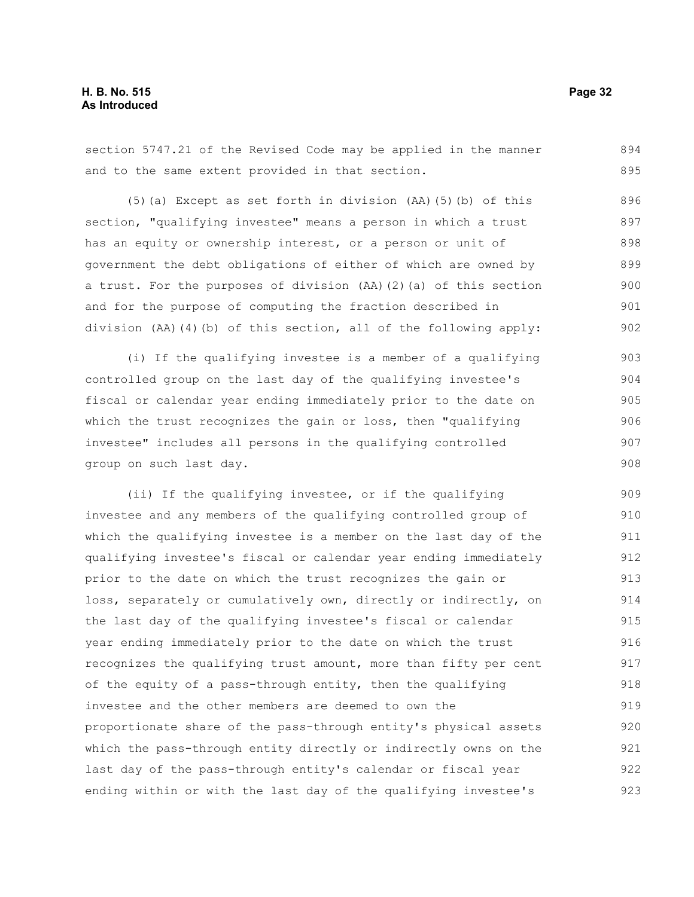section 5747.21 of the Revised Code may be applied in the manner and to the same extent provided in that section. 894 895

(5)(a) Except as set forth in division (AA)(5)(b) of this section, "qualifying investee" means a person in which a trust has an equity or ownership interest, or a person or unit of government the debt obligations of either of which are owned by a trust. For the purposes of division (AA)(2)(a) of this section and for the purpose of computing the fraction described in division (AA)(4)(b) of this section, all of the following apply: 896 897 898 899 900 901 902

(i) If the qualifying investee is a member of a qualifying controlled group on the last day of the qualifying investee's fiscal or calendar year ending immediately prior to the date on which the trust recognizes the gain or loss, then "qualifying investee" includes all persons in the qualifying controlled group on such last day. 903 904 905 906 907 908

(ii) If the qualifying investee, or if the qualifying investee and any members of the qualifying controlled group of which the qualifying investee is a member on the last day of the qualifying investee's fiscal or calendar year ending immediately prior to the date on which the trust recognizes the gain or loss, separately or cumulatively own, directly or indirectly, on the last day of the qualifying investee's fiscal or calendar year ending immediately prior to the date on which the trust recognizes the qualifying trust amount, more than fifty per cent of the equity of a pass-through entity, then the qualifying investee and the other members are deemed to own the proportionate share of the pass-through entity's physical assets which the pass-through entity directly or indirectly owns on the last day of the pass-through entity's calendar or fiscal year ending within or with the last day of the qualifying investee's 909 910 911 912 913 914 915 916 917 918 919 920 921 922 923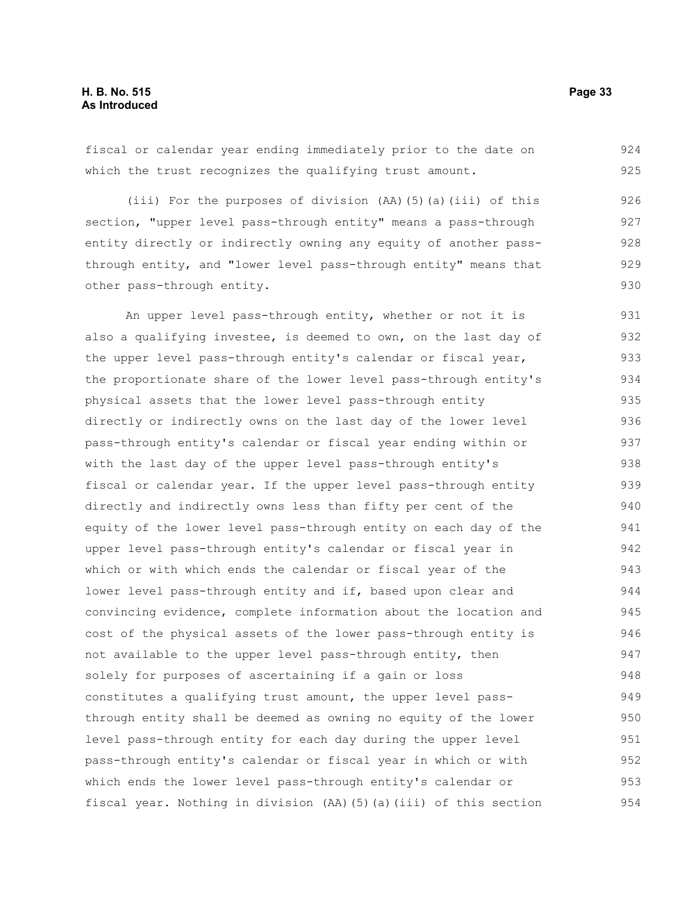fiscal or calendar year ending immediately prior to the date on which the trust recognizes the qualifying trust amount. 924 925

(iii) For the purposes of division (AA)(5)(a)(iii) of this section, "upper level pass-through entity" means a pass-through entity directly or indirectly owning any equity of another passthrough entity, and "lower level pass-through entity" means that other pass-through entity. 926 927 928 929 930

An upper level pass-through entity, whether or not it is also a qualifying investee, is deemed to own, on the last day of the upper level pass-through entity's calendar or fiscal year, the proportionate share of the lower level pass-through entity's physical assets that the lower level pass-through entity directly or indirectly owns on the last day of the lower level pass-through entity's calendar or fiscal year ending within or with the last day of the upper level pass-through entity's fiscal or calendar year. If the upper level pass-through entity directly and indirectly owns less than fifty per cent of the equity of the lower level pass-through entity on each day of the upper level pass-through entity's calendar or fiscal year in which or with which ends the calendar or fiscal year of the lower level pass-through entity and if, based upon clear and convincing evidence, complete information about the location and cost of the physical assets of the lower pass-through entity is not available to the upper level pass-through entity, then solely for purposes of ascertaining if a gain or loss constitutes a qualifying trust amount, the upper level passthrough entity shall be deemed as owning no equity of the lower level pass-through entity for each day during the upper level pass-through entity's calendar or fiscal year in which or with which ends the lower level pass-through entity's calendar or fiscal year. Nothing in division (AA)(5)(a)(iii) of this section 931 932 933 934 935 936 937 938 939 940 941 942 943 944 945 946 947 948 949 950 951 952 953 954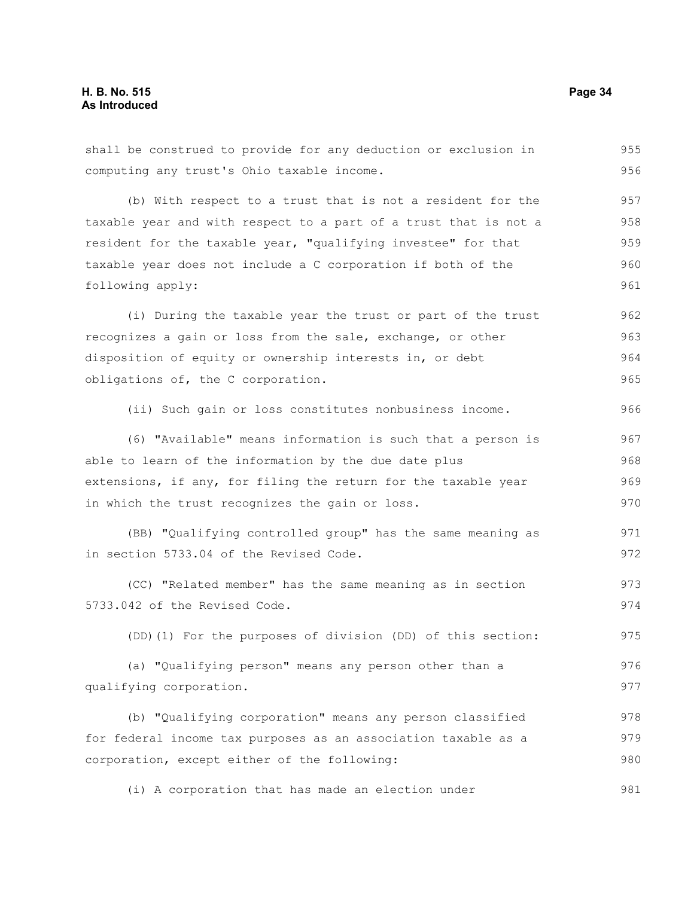shall be construed to provide for any deduction or exclusion in computing any trust's Ohio taxable income. (b) With respect to a trust that is not a resident for the taxable year and with respect to a part of a trust that is not a resident for the taxable year, "qualifying investee" for that taxable year does not include a C corporation if both of the following apply: (i) During the taxable year the trust or part of the trust recognizes a gain or loss from the sale, exchange, or other disposition of equity or ownership interests in, or debt obligations of, the C corporation. (ii) Such gain or loss constitutes nonbusiness income. (6) "Available" means information is such that a person is able to learn of the information by the due date plus extensions, if any, for filing the return for the taxable year in which the trust recognizes the gain or loss. (BB) "Qualifying controlled group" has the same meaning as in section 5733.04 of the Revised Code. (CC) "Related member" has the same meaning as in section 5733.042 of the Revised Code. (DD)(1) For the purposes of division (DD) of this section: (a) "Qualifying person" means any person other than a qualifying corporation. (b) "Qualifying corporation" means any person classified for federal income tax purposes as an association taxable as a corporation, except either of the following: 955 956 957 958 959 960 961 962 963 964 965 966 967 968 969 970 971 972 973 974 975 976 977 978 979 980

(i) A corporation that has made an election under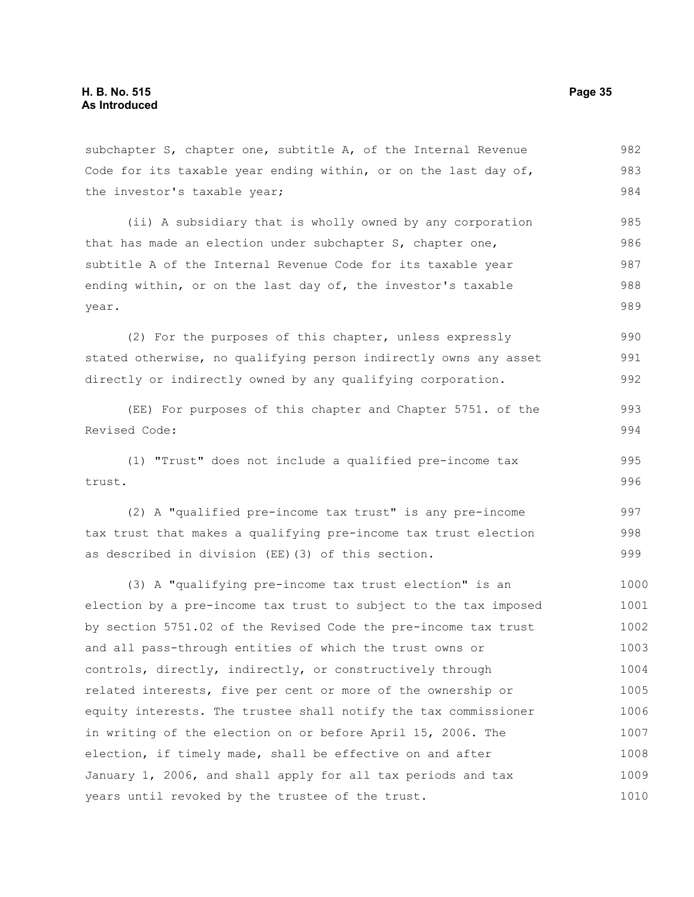subchapter S, chapter one, subtitle A, of the Internal Revenue Code for its taxable year ending within, or on the last day of, the investor's taxable year; 982 983 984

(ii) A subsidiary that is wholly owned by any corporation that has made an election under subchapter S, chapter one, subtitle A of the Internal Revenue Code for its taxable year ending within, or on the last day of, the investor's taxable year. 985 986 987 988 989

(2) For the purposes of this chapter, unless expressly stated otherwise, no qualifying person indirectly owns any asset directly or indirectly owned by any qualifying corporation. 990 991 992

(EE) For purposes of this chapter and Chapter 5751. of the Revised Code: 993 994

(1) "Trust" does not include a qualified pre-income tax trust. 995 996

(2) A "qualified pre-income tax trust" is any pre-income tax trust that makes a qualifying pre-income tax trust election as described in division (EE)(3) of this section. 997 998 999

(3) A "qualifying pre-income tax trust election" is an election by a pre-income tax trust to subject to the tax imposed by section 5751.02 of the Revised Code the pre-income tax trust and all pass-through entities of which the trust owns or controls, directly, indirectly, or constructively through related interests, five per cent or more of the ownership or equity interests. The trustee shall notify the tax commissioner in writing of the election on or before April 15, 2006. The election, if timely made, shall be effective on and after January 1, 2006, and shall apply for all tax periods and tax years until revoked by the trustee of the trust. 1000 1001 1002 1003 1004 1005 1006 1007 1008 1009 1010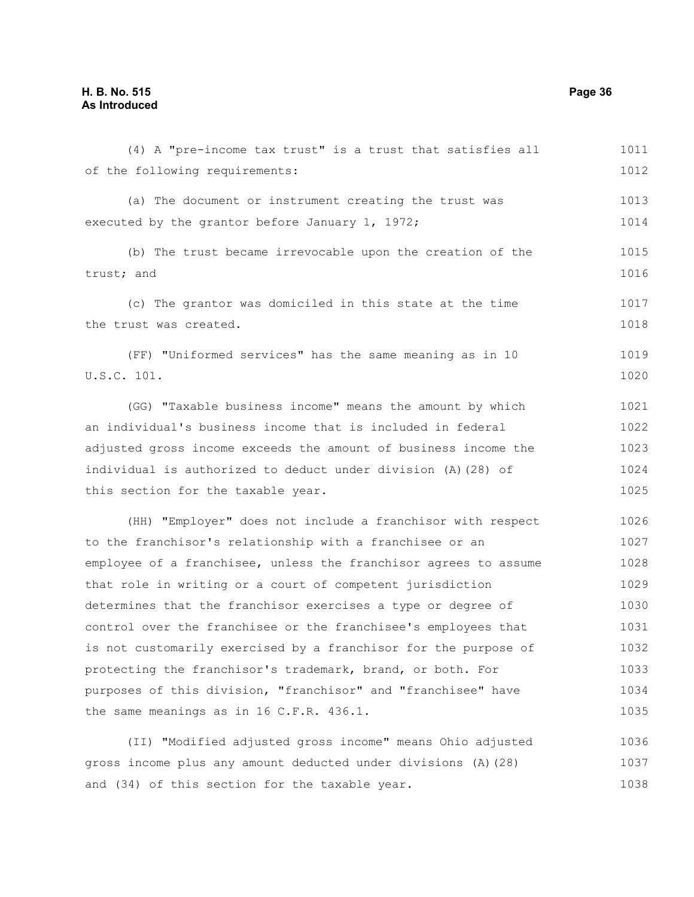| (4) A "pre-income tax trust" is a trust that satisfies all       | 1011 |
|------------------------------------------------------------------|------|
| of the following requirements:                                   | 1012 |
| (a) The document or instrument creating the trust was            | 1013 |
| executed by the grantor before January 1, 1972;                  | 1014 |
| (b) The trust became irrevocable upon the creation of the        | 1015 |
| trust; and                                                       | 1016 |
| (c) The grantor was domiciled in this state at the time          | 1017 |
| the trust was created.                                           | 1018 |
| (FF) "Uniformed services" has the same meaning as in 10          | 1019 |
| U.S.C. 101.                                                      | 1020 |
| (GG) "Taxable business income" means the amount by which         | 1021 |
| an individual's business income that is included in federal      | 1022 |
| adjusted gross income exceeds the amount of business income the  | 1023 |
| individual is authorized to deduct under division (A) (28) of    | 1024 |
| this section for the taxable year.                               | 1025 |
| (HH) "Employer" does not include a franchisor with respect       | 1026 |
| to the franchisor's relationship with a franchisee or an         | 1027 |
| employee of a franchisee, unless the franchisor agrees to assume | 1028 |
| that role in writing or a court of competent jurisdiction        | 1029 |
| determines that the franchisor exercises a type or degree of     | 1030 |
| control over the franchisee or the franchisee's employees that   | 1031 |
| is not customarily exercised by a franchisor for the purpose of  | 1032 |
| protecting the franchisor's trademark, brand, or both. For       | 1033 |
| purposes of this division, "franchisor" and "franchisee" have    | 1034 |
| the same meanings as in 16 C.F.R. 436.1.                         | 1035 |
| (II) "Modified adjusted gross income" means Ohio adjusted        | 1036 |
| gross income plus any amount deducted under divisions (A) (28)   | 1037 |
| and (34) of this section for the taxable year.                   | 1038 |